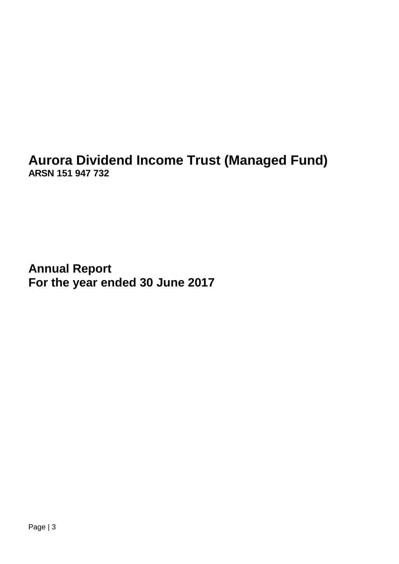**Aurora Dividend Income Trust (Managed Fund) ARSN 151 947 732**

**Annual Report For the year ended 30 June 2017**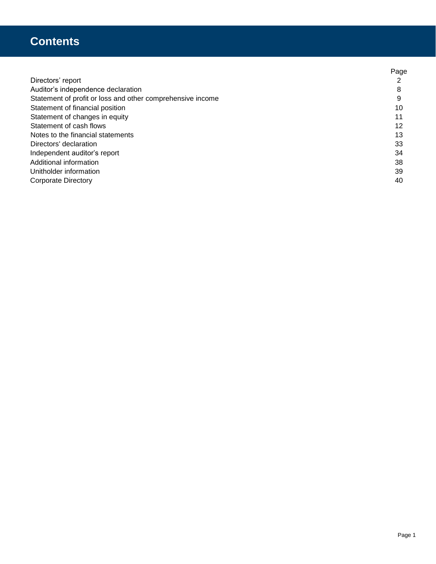## **Contents**

|                                                            | Page |
|------------------------------------------------------------|------|
| Directors' report                                          |      |
| Auditor's independence declaration                         | 8    |
| Statement of profit or loss and other comprehensive income | 9    |
| Statement of financial position                            | 10   |
| Statement of changes in equity                             | 11   |
| Statement of cash flows                                    | 12   |
| Notes to the financial statements                          | 13   |
| Directors' declaration                                     | 33   |
| Independent auditor's report                               | 34   |
| Additional information                                     | 38   |
| Unitholder information                                     | 39   |
| <b>Corporate Directory</b>                                 | 40   |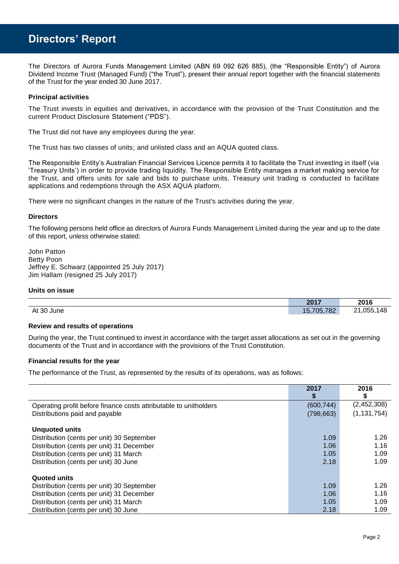## **Directors' Report**

The Directors of Aurora Funds Management Limited (ABN 69 092 626 885), (the "Responsible Entity") of Aurora Dividend Income Trust (Managed Fund) ("the Trust"), present their annual report together with the financial statements of the Trust for the year ended 30 June 2017.

## **Principal activities**

The Trust invests in equities and derivatives, in accordance with the provision of the Trust Constitution and the current Product Disclosure Statement ("PDS").

The Trust did not have any employees during the year.

The Trust has two classes of units; and unlisted class and an AQUA quoted class.

The Responsible Entity's Australian Financial Services Licence permits it to facilitate the Trust investing in itself (via 'Treasury Units') in order to provide trading liquidity. The Responsible Entity manages a market making service for the Trust, and offers units for sale and bids to purchase units. Treasury unit trading is conducted to facilitate applications and redemptions through the ASX AQUA platform.

There were no significant changes in the nature of the Trust's activities during the year.

## **Directors**

The following persons held office as directors of Aurora Funds Management Limited during the year and up to the date of this report, unless otherwise stated:

John Patton Betty Poon Jeffrey E. Schwarz (appointed 25 July 2017) Jim Hallam (resigned 25 July 2017)

## **Units on issue**

|               | 2017       | 2016                     |
|---------------|------------|--------------------------|
| At 30<br>June | 15,705,782 | 148<br>,055.<br>$\Omega$ |

## **Review and results of operations**

During the year, the Trust continued to invest in accordance with the target asset allocations as set out in the governing documents of the Trust and in accordance with the provisions of the Trust Constitution.

## **Financial results for the year**

The performance of the Trust, as represented by the results of its operations, was as follows:

|                                                                   | 2017       | 2016          |
|-------------------------------------------------------------------|------------|---------------|
|                                                                   |            | S             |
| Operating profit before finance costs attributable to unitholders | (600, 744) | (2,452,308)   |
| Distributions paid and payable                                    | (798, 663) | (1, 131, 754) |
|                                                                   |            |               |
| <b>Unquoted units</b>                                             |            |               |
| Distribution (cents per unit) 30 September                        | 1.09       | 1.26          |
| Distribution (cents per unit) 31 December                         | 1.06       | 1.16          |
| Distribution (cents per unit) 31 March                            | 1.05       | 1.09          |
| Distribution (cents per unit) 30 June                             | 2.18       | 1.09          |
| <b>Quoted units</b>                                               |            |               |
| Distribution (cents per unit) 30 September                        | 1.09       | 1.26          |
| Distribution (cents per unit) 31 December                         | 1.06       | 1.16          |
| Distribution (cents per unit) 31 March                            | 1.05       | 1.09          |
| Distribution (cents per unit) 30 June                             | 2.18       | 1.09          |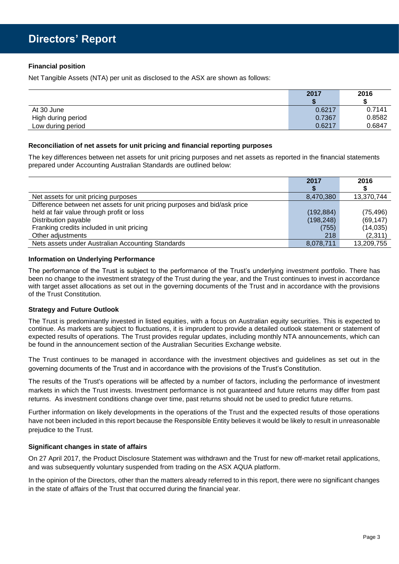## **Financial position**

Net Tangible Assets (NTA) per unit as disclosed to the ASX are shown as follows:

|                    | 2017   | 2016   |
|--------------------|--------|--------|
|                    |        |        |
| At 30 June         | 0.6217 | 0.7141 |
| High during period | 0.7367 | 0.8582 |
| Low during period  | 0.6217 | 0.6847 |

## **Reconciliation of net assets for unit pricing and financial reporting purposes**

The key differences between net assets for unit pricing purposes and net assets as reported in the financial statements prepared under Accounting Australian Standards are outlined below:

|                                                                           | 2017       | 2016       |
|---------------------------------------------------------------------------|------------|------------|
|                                                                           |            |            |
| Net assets for unit pricing purposes                                      | 8,470,380  | 13,370,744 |
| Difference between net assets for unit pricing purposes and bid/ask price |            |            |
| held at fair value through profit or loss                                 | (192, 884) | (75, 496)  |
| Distribution payable                                                      | (198, 248) | (69, 147)  |
| Franking credits included in unit pricing                                 | (755)      | (14, 035)  |
| Other adjustments                                                         | 218        | (2,311)    |
| Nets assets under Australian Accounting Standards                         | 8,078,711  | 13,209,755 |

## **Information on Underlying Performance**

The performance of the Trust is subject to the performance of the Trust's underlying investment portfolio. There has been no change to the investment strategy of the Trust during the year, and the Trust continues to invest in accordance with target asset allocations as set out in the governing documents of the Trust and in accordance with the provisions of the Trust Constitution.

## **Strategy and Future Outlook**

The Trust is predominantly invested in listed equities, with a focus on Australian equity securities. This is expected to continue. As markets are subject to fluctuations, it is imprudent to provide a detailed outlook statement or statement of expected results of operations. The Trust provides regular updates, including monthly NTA announcements, which can be found in the announcement section of the Australian Securities Exchange website.

The Trust continues to be managed in accordance with the investment objectives and guidelines as set out in the governing documents of the Trust and in accordance with the provisions of the Trust's Constitution.

The results of the Trust's operations will be affected by a number of factors, including the performance of investment markets in which the Trust invests. Investment performance is not guaranteed and future returns may differ from past returns. As investment conditions change over time, past returns should not be used to predict future returns.

Further information on likely developments in the operations of the Trust and the expected results of those operations have not been included in this report because the Responsible Entity believes it would be likely to result in unreasonable prejudice to the Trust.

## **Significant changes in state of affairs**

On 27 April 2017, the Product Disclosure Statement was withdrawn and the Trust for new off-market retail applications, and was subsequently voluntary suspended from trading on the ASX AQUA platform.

In the opinion of the Directors, other than the matters already referred to in this report, there were no significant changes in the state of affairs of the Trust that occurred during the financial year.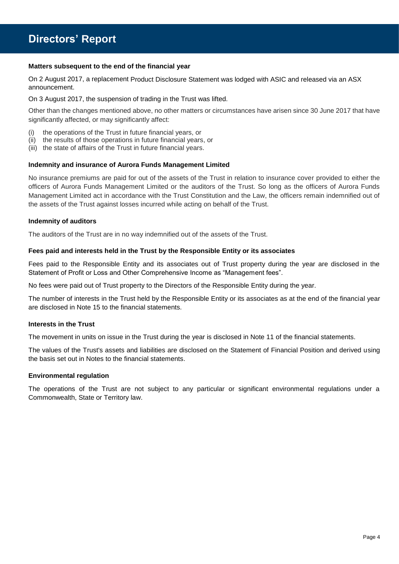## **Directors' Report**

## **Matters subsequent to the end of the financial year**

On 2 August 2017, a replacement Product Disclosure Statement was lodged with ASIC and released via an ASX announcement.

## On 3 August 2017, the suspension of trading in the Trust was lifted.

Other than the changes mentioned above, no other matters or circumstances have arisen since 30 June 2017 that have significantly affected, or may significantly affect:

- (i) the operations of the Trust in future financial years, or
- (ii) the results of those operations in future financial years, or
- (iii) the state of affairs of the Trust in future financial years.

## **Indemnity and insurance of Aurora Funds Management Limited**

No insurance premiums are paid for out of the assets of the Trust in relation to insurance cover provided to either the officers of Aurora Funds Management Limited or the auditors of the Trust. So long as the officers of Aurora Funds Management Limited act in accordance with the Trust Constitution and the Law, the officers remain indemnified out of the assets of the Trust against losses incurred while acting on behalf of the Trust.

## **Indemnity of auditors**

The auditors of the Trust are in no way indemnified out of the assets of the Trust.

## **Fees paid and interests held in the Trust by the Responsible Entity or its associates**

Fees paid to the Responsible Entity and its associates out of Trust property during the year are disclosed in the Statement of Profit or Loss and Other Comprehensive Income as "Management fees".

No fees were paid out of Trust property to the Directors of the Responsible Entity during the year.

The number of interests in the Trust held by the Responsible Entity or its associates as at the end of the financial year are disclosed in Note 15 to the financial statements.

## **Interests in the Trust**

The movement in units on issue in the Trust during the year is disclosed in Note 11 of the financial statements.

The values of the Trust's assets and liabilities are disclosed on the Statement of Financial Position and derived using the basis set out in Notes to the financial statements.

## **Environmental regulation**

The operations of the Trust are not subject to any particular or significant environmental regulations under a Commonwealth, State or Territory law.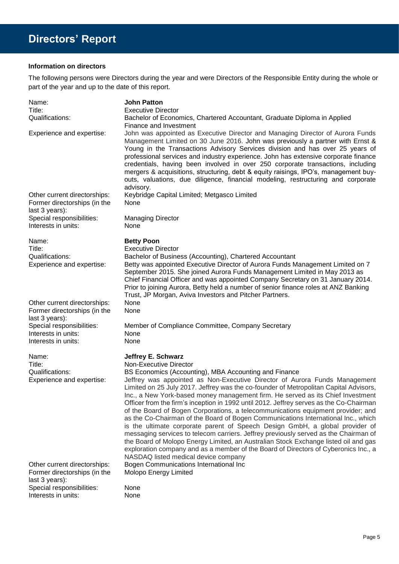## **Information on directors**

The following persons were Directors during the year and were Directors of the Responsible Entity during the whole or part of the year and up to the date of this report.

| Name:<br>Title:<br>Qualifications:                                                                 | <b>John Patton</b><br><b>Executive Director</b><br>Bachelor of Economics, Chartered Accountant, Graduate Diploma in Applied<br>Finance and Investment                                                                                                                                                                                                                                                                                                                                                                                                                                                                                                                                                                                                                                                                                                                                                                                                                                                                                                                              |
|----------------------------------------------------------------------------------------------------|------------------------------------------------------------------------------------------------------------------------------------------------------------------------------------------------------------------------------------------------------------------------------------------------------------------------------------------------------------------------------------------------------------------------------------------------------------------------------------------------------------------------------------------------------------------------------------------------------------------------------------------------------------------------------------------------------------------------------------------------------------------------------------------------------------------------------------------------------------------------------------------------------------------------------------------------------------------------------------------------------------------------------------------------------------------------------------|
| Experience and expertise:                                                                          | John was appointed as Executive Director and Managing Director of Aurora Funds<br>Management Limited on 30 June 2016. John was previously a partner with Ernst &<br>Young in the Transactions Advisory Services division and has over 25 years of<br>professional services and industry experience. John has extensive corporate finance<br>credentials, having been involved in over 250 corporate transactions, including<br>mergers & acquisitions, structuring, debt & equity raisings, IPO's, management buy-<br>outs, valuations, due diligence, financial modeling, restructuring and corporate<br>advisory.                                                                                                                                                                                                                                                                                                                                                                                                                                                                |
| Other current directorships:<br>Former directorships (in the<br>last 3 years):                     | Keybridge Capital Limited; Metgasco Limited<br>None                                                                                                                                                                                                                                                                                                                                                                                                                                                                                                                                                                                                                                                                                                                                                                                                                                                                                                                                                                                                                                |
| Special responsibilities:<br>Interests in units:                                                   | <b>Managing Director</b><br>None                                                                                                                                                                                                                                                                                                                                                                                                                                                                                                                                                                                                                                                                                                                                                                                                                                                                                                                                                                                                                                                   |
| Name:<br>Title:<br>Qualifications:<br>Experience and expertise:                                    | <b>Betty Poon</b><br><b>Executive Director</b><br>Bachelor of Business (Accounting), Chartered Accountant<br>Betty was appointed Executive Director of Aurora Funds Management Limited on 7<br>September 2015. She joined Aurora Funds Management Limited in May 2013 as<br>Chief Financial Officer and was appointed Company Secretary on 31 January 2014.<br>Prior to joining Aurora, Betty held a number of senior finance roles at ANZ Banking<br>Trust, JP Morgan, Aviva Investors and Pitcher Partners.                                                                                                                                                                                                                                                                                                                                                                                                                                                                                                                                                                      |
| Other current directorships:<br>Former directorships (in the<br>last 3 years):                     | None<br>None                                                                                                                                                                                                                                                                                                                                                                                                                                                                                                                                                                                                                                                                                                                                                                                                                                                                                                                                                                                                                                                                       |
| Special responsibilities:<br>Interests in units:<br>Interests in units:                            | Member of Compliance Committee, Company Secretary<br>None<br>None                                                                                                                                                                                                                                                                                                                                                                                                                                                                                                                                                                                                                                                                                                                                                                                                                                                                                                                                                                                                                  |
| Name:<br>Title:<br>Qualifications:<br>Experience and expertise:<br>Other current directorships:    | <b>Jeffrey E. Schwarz</b><br>Non-Executive Director<br>BS Economics (Accounting), MBA Accounting and Finance<br>Jeffrey was appointed as Non-Executive Director of Aurora Funds Management<br>Limited on 25 July 2017. Jeffrey was the co-founder of Metropolitan Capital Advisors,<br>Inc., a New York-based money management firm. He served as its Chief Investment<br>Officer from the firm's inception in 1992 until 2012. Jeffrey serves as the Co-Chairman<br>of the Board of Bogen Corporations, a telecommunications equipment provider; and<br>as the Co-Chairman of the Board of Bogen Communications International Inc., which<br>is the ultimate corporate parent of Speech Design GmbH, a global provider of<br>messaging services to telecom carriers. Jeffrey previously served as the Chairman of<br>the Board of Molopo Energy Limited, an Australian Stock Exchange listed oil and gas<br>exploration company and as a member of the Board of Directors of Cyberonics Inc., a<br>NASDAQ listed medical device company<br>Bogen Communications International Inc |
| Former directorships (in the<br>last 3 years):<br>Special responsibilities:<br>Interests in units: | Molopo Energy Limited<br>None<br>None                                                                                                                                                                                                                                                                                                                                                                                                                                                                                                                                                                                                                                                                                                                                                                                                                                                                                                                                                                                                                                              |
|                                                                                                    |                                                                                                                                                                                                                                                                                                                                                                                                                                                                                                                                                                                                                                                                                                                                                                                                                                                                                                                                                                                                                                                                                    |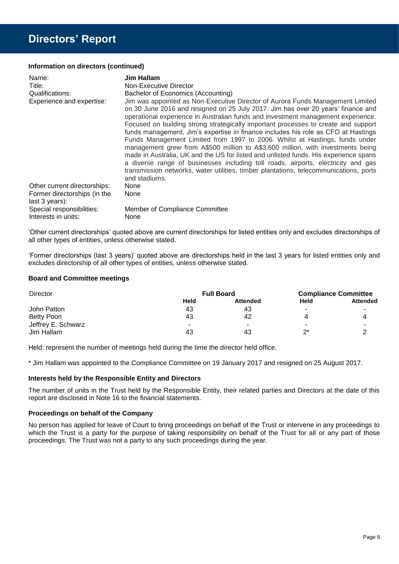## **Directors' Report**

## **Information on directors (continued)**

| Name:                                            | Jim Hallam                                                                                                                                                                                                                                                                                                                                                                                                                                                                                                                                                                                                                                                                                                                                                                                                                                                                                 |
|--------------------------------------------------|--------------------------------------------------------------------------------------------------------------------------------------------------------------------------------------------------------------------------------------------------------------------------------------------------------------------------------------------------------------------------------------------------------------------------------------------------------------------------------------------------------------------------------------------------------------------------------------------------------------------------------------------------------------------------------------------------------------------------------------------------------------------------------------------------------------------------------------------------------------------------------------------|
| Title:                                           | Non-Executive Director                                                                                                                                                                                                                                                                                                                                                                                                                                                                                                                                                                                                                                                                                                                                                                                                                                                                     |
| Qualifications:                                  | Bachelor of Economics (Accounting)                                                                                                                                                                                                                                                                                                                                                                                                                                                                                                                                                                                                                                                                                                                                                                                                                                                         |
| Experience and expertise:                        | Jim was appointed as Non-Executive Director of Aurora Funds Management Limited<br>on 30 June 2016 and resigned on 25 July 2017. Jim has over 20 years' finance and<br>operational experience in Australian funds and investment management experience.<br>Focused on building strong strategically important processes to create and support<br>funds management, Jim's expertise in finance includes his role as CFO at Hastings<br>Funds Management Limited from 1997 to 2006. Whilst at Hastings, funds under<br>management grew from A\$500 million to A\$3,600 million, with investments being<br>made in Australia, UK and the US for listed and unlisted funds. His experience spans<br>a diverse range of businesses including toll roads, airports, electricity and gas<br>transmission networks, water utilities, timber plantations, telecommunications, ports<br>and stadiums. |
| Other current directorships:                     | None                                                                                                                                                                                                                                                                                                                                                                                                                                                                                                                                                                                                                                                                                                                                                                                                                                                                                       |
| Former directorships (in the<br>last 3 years):   | None                                                                                                                                                                                                                                                                                                                                                                                                                                                                                                                                                                                                                                                                                                                                                                                                                                                                                       |
| Special responsibilities:<br>Interests in units: | Member of Compliance Committee<br>None                                                                                                                                                                                                                                                                                                                                                                                                                                                                                                                                                                                                                                                                                                                                                                                                                                                     |

'Other current directorships' quoted above are current directorships for listed entities only and excludes directorships of all other types of entities, unless otherwise stated.

'Former directorships (last 3 years)' quoted above are directorships held in the last 3 years for listed entities only and excludes directorship of all other types of entities, unless otherwise stated.

## **Board and Committee meetings**

| <b>Director</b>    | <b>Full Board</b> |                 | <b>Compliance Committee</b> |                 |
|--------------------|-------------------|-----------------|-----------------------------|-----------------|
|                    | Held              | <b>Attended</b> | Held                        | <b>Attended</b> |
| John Patton        | 43                | 43              | -                           |                 |
| Betty Poon         | 43                | 42              |                             | 4               |
| Jeffrey E. Schwarz |                   |                 |                             |                 |
| Jim Hallam         | 43                | 43              | つ*                          |                 |

Held: represent the number of meetings held during the time the director held office.

\* Jim Hallam was appointed to the Compliance Committee on 19 January 2017 and resigned on 25 August 2017.

## **Interests held by the Responsible Entity and Directors**

The number of units in the Trust held by the Responsible Entity, their related parties and Directors at the date of this report are disclosed in Note 16 to the financial statements.

## **Proceedings on behalf of the Company**

No person has applied for leave of Court to bring proceedings on behalf of the Trust or intervene in any proceedings to which the Trust is a party for the purpose of taking responsibility on behalf of the Trust for all or any part of those proceedings. The Trust was not a party to any such proceedings during the year.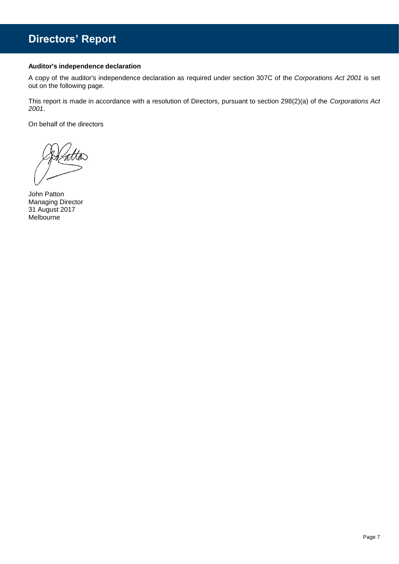## **Directors' Report**

## **Auditor's independence declaration**

A copy of the auditor's independence declaration as required under section 307C of the *Corporations Act 2001* is set out on the following page.

This report is made in accordance with a resolution of Directors, pursuant to section 298(2)(a) of the *Corporations Act 2001*.

On behalf of the directors

John Patton Managing Director 31 August 2017 Melbourne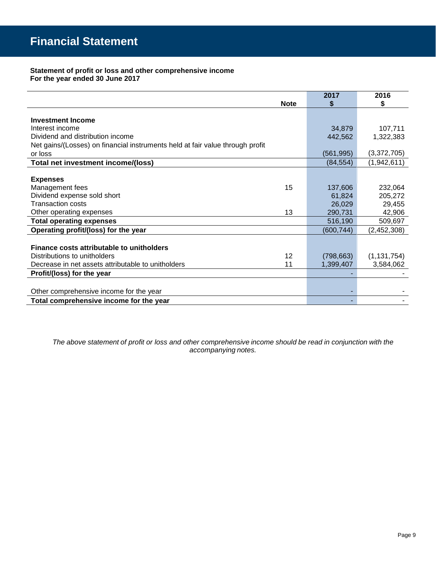## **Statement of profit or loss and other comprehensive income For the year ended 30 June 2017**

|                                                                               | 2017       | 2016          |
|-------------------------------------------------------------------------------|------------|---------------|
| <b>Note</b>                                                                   | S          | \$            |
|                                                                               |            |               |
| <b>Investment Income</b>                                                      |            |               |
| Interest income                                                               | 34,879     | 107,711       |
| Dividend and distribution income                                              | 442,562    | 1,322,383     |
| Net gains/(Losses) on financial instruments held at fair value through profit |            |               |
| or loss                                                                       | (561, 995) | (3,372,705)   |
| Total net investment income/(loss)                                            | (84, 554)  | (1,942,611)   |
|                                                                               |            |               |
| <b>Expenses</b>                                                               |            |               |
| Management fees<br>15                                                         | 137,606    | 232,064       |
| Dividend expense sold short                                                   | 61,824     | 205,272       |
| Transaction costs                                                             | 26,029     | 29,455        |
| 13<br>Other operating expenses                                                | 290,731    | 42,906        |
| <b>Total operating expenses</b>                                               | 516,190    | 509,697       |
| Operating profit/(loss) for the year                                          | (600, 744) | (2, 452, 308) |
|                                                                               |            |               |
| Finance costs attributable to unitholders                                     |            |               |
| 12<br>Distributions to unitholders                                            | (798, 663) | (1, 131, 754) |
| 11<br>Decrease in net assets attributable to unitholders                      | 1,399,407  | 3,584,062     |
| Profit/(loss) for the year                                                    |            |               |
|                                                                               |            |               |
| Other comprehensive income for the year                                       |            |               |
| Total comprehensive income for the year                                       |            |               |

*The above statement of profit or loss and other comprehensive income should be read in conjunction with the accompanying notes.*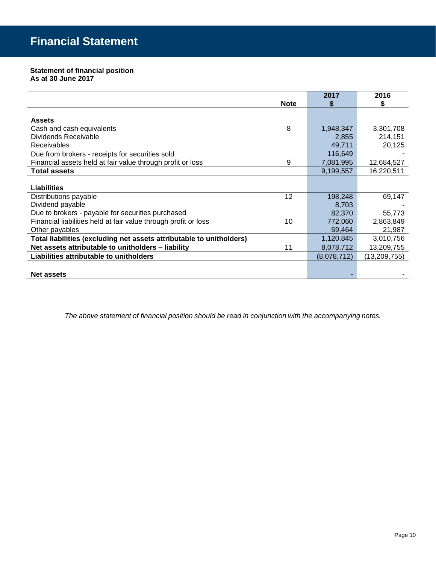## **Statement of financial position As at 30 June 2017**

|                                                                      |                 | 2017        | 2016         |
|----------------------------------------------------------------------|-----------------|-------------|--------------|
|                                                                      | <b>Note</b>     |             | S            |
|                                                                      |                 |             |              |
| <b>Assets</b>                                                        |                 |             |              |
| Cash and cash equivalents                                            | 8               | 1,948,347   | 3,301,708    |
| Dividends Receivable                                                 |                 | 2,855       | 214,151      |
| <b>Receivables</b>                                                   |                 | 49,711      | 20,125       |
| Due from brokers - receipts for securities sold                      |                 | 116,649     |              |
| Financial assets held at fair value through profit or loss           | 9               | 7,081,995   | 12,684,527   |
| <b>Total assets</b>                                                  |                 | 9,199,557   | 16,220,511   |
|                                                                      |                 |             |              |
| Liabilities                                                          |                 |             |              |
| Distributions payable                                                | 12 <sup>°</sup> | 198,248     | 69,147       |
| Dividend payable                                                     |                 | 8,703       |              |
| Due to brokers - payable for securities purchased                    |                 | 82,370      | 55,773       |
| Financial liabilities held at fair value through profit or loss      | 10              | 772,060     | 2,863,849    |
| Other payables                                                       |                 | 59,464      | 21,987       |
| Total liabilities (excluding net assets attributable to unitholders) |                 | 1,120,845   | 3,010,756    |
| Net assets attributable to unitholders - liability                   | 11              | 8,078,712   | 13,209,755   |
| Liabilities attributable to unitholders                              |                 | (8,078,712) | (13,209,755) |
|                                                                      |                 |             |              |
| <b>Net assets</b>                                                    |                 |             |              |

*The above statement of financial position should be read in conjunction with the accompanying notes.*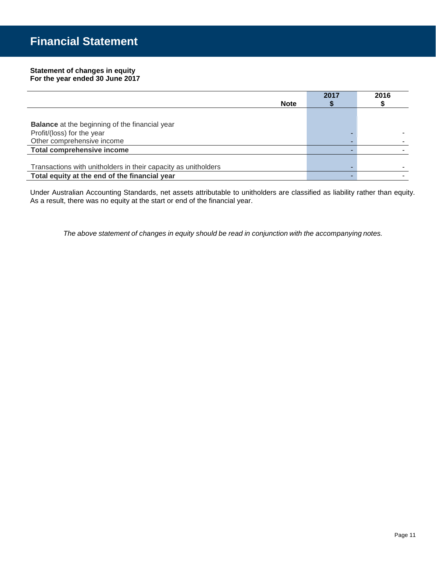#### **Statement of changes in equity For the year ended 30 June 2017**

|                                                                | 2017 | 2016 |
|----------------------------------------------------------------|------|------|
| <b>Note</b>                                                    |      |      |
|                                                                |      |      |
| <b>Balance</b> at the beginning of the financial year          |      |      |
| Profit/(loss) for the year                                     |      |      |
| Other comprehensive income                                     |      |      |
| <b>Total comprehensive income</b>                              |      |      |
|                                                                |      |      |
| Transactions with unitholders in their capacity as unitholders |      |      |
| Total equity at the end of the financial year                  |      |      |

Under Australian Accounting Standards, net assets attributable to unitholders are classified as liability rather than equity. As a result, there was no equity at the start or end of the financial year.

*The above statement of changes in equity should be read in conjunction with the accompanying notes.*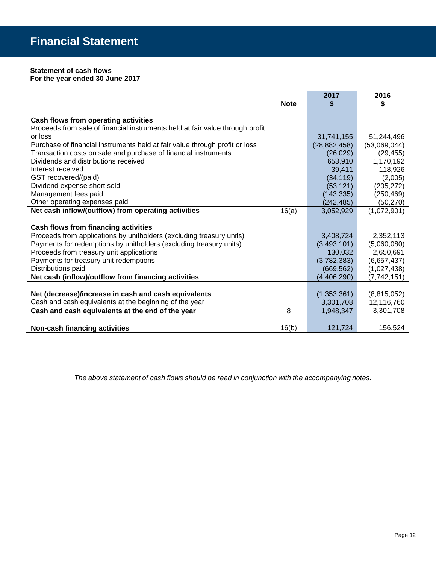## **Statement of cash flows For the year ended 30 June 2017**

|                                                                               | 2017           | 2016          |
|-------------------------------------------------------------------------------|----------------|---------------|
| <b>Note</b>                                                                   | S              | \$            |
|                                                                               |                |               |
| Cash flows from operating activities                                          |                |               |
| Proceeds from sale of financial instruments held at fair value through profit |                |               |
| or loss                                                                       | 31,741,155     | 51,244,496    |
| Purchase of financial instruments held at fair value through profit or loss   | (28, 882, 458) | (53,069,044)  |
| Transaction costs on sale and purchase of financial instruments               | (26, 029)      | (29, 455)     |
| Dividends and distributions received                                          | 653,910        | 1,170,192     |
| Interest received                                                             | 39.411         | 118,926       |
| GST recovered/(paid)                                                          | (34, 119)      | (2,005)       |
| Dividend expense short sold                                                   | (53, 121)      | (205, 272)    |
| Management fees paid                                                          | (143, 335)     | (250, 469)    |
| Other operating expenses paid                                                 | (242,485)      | (50, 270)     |
| Net cash inflow/(outflow) from operating activities<br>16(a)                  | 3,052,929      | (1,072,901)   |
|                                                                               |                |               |
| Cash flows from financing activities                                          |                |               |
| Proceeds from applications by unitholders (excluding treasury units)          | 3,408,724      | 2,352,113     |
| Payments for redemptions by unitholders (excluding treasury units)            | (3,493,101)    | (5,060,080)   |
| Proceeds from treasury unit applications                                      | 130,032        | 2,650,691     |
| Payments for treasury unit redemptions                                        | (3,782,383)    | (6,657,437)   |
| Distributions paid                                                            | (669, 562)     | (1,027,438)   |
| Net cash (inflow)/outflow from financing activities                           | (4,406,290)    | (7, 742, 151) |
|                                                                               |                |               |
| Net (decrease)/increase in cash and cash equivalents                          | (1,353,361)    | (8,815,052)   |
| Cash and cash equivalents at the beginning of the year                        | 3,301,708      | 12,116,760    |
| Cash and cash equivalents at the end of the year<br>8                         | 1,948,347      | 3,301,708     |
|                                                                               |                |               |
| 16(b)<br><b>Non-cash financing activities</b>                                 | 121,724        | 156,524       |

*The above statement of cash flows should be read in conjunction with the accompanying notes.*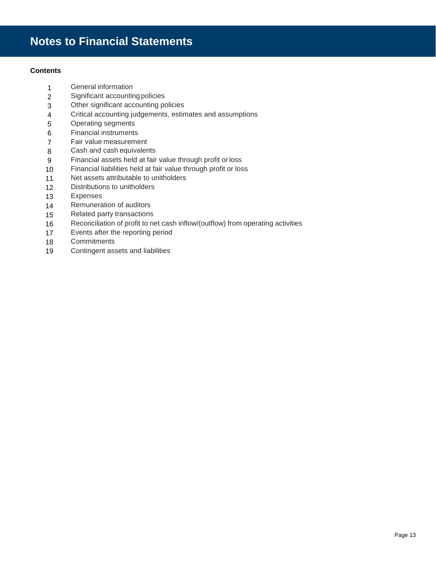## **Contents**

- General information
- Significant accountingpolicies
- Other significant accounting policies
- Critical accounting judgements, estimates and assumptions
- Operating segments
- Financial instruments
- Fair value measurement
- Cash and cash equivalents
- Financial assets held at fair value through profit orloss
- Financial liabilities held at fair value through profit or loss
- Net assets attributable to unitholders
- Distributions to unitholders
- Expenses
- Remuneration of auditors
- Related party transactions
- Reconciliation of profit to net cash inflow/(outflow) from operating activities
- Events after the reporting period
- Commitments
- Contingent assets and liabilities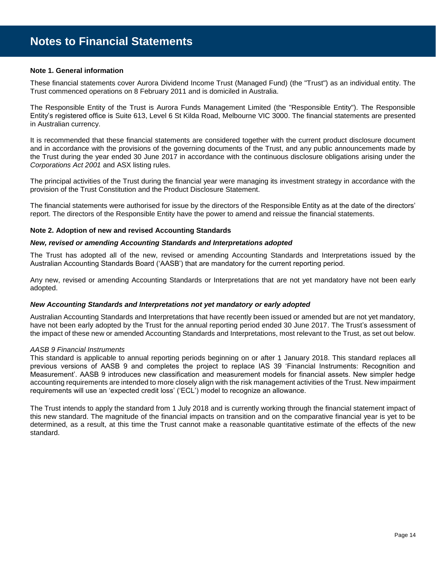#### **Note 1. General information**

These financial statements cover Aurora Dividend Income Trust (Managed Fund) (the "Trust") as an individual entity. The Trust commenced operations on 8 February 2011 and is domiciled in Australia.

The Responsible Entity of the Trust is Aurora Funds Management Limited (the "Responsible Entity"). The Responsible Entity's registered office is Suite 613, Level 6 St Kilda Road, Melbourne VIC 3000. The financial statements are presented in Australian currency.

It is recommended that these financial statements are considered together with the current product disclosure document and in accordance with the provisions of the governing documents of the Trust, and any public announcements made by the Trust during the year ended 30 June 2017 in accordance with the continuous disclosure obligations arising under the *Corporations Act 2001* and ASX listing rules.

The principal activities of the Trust during the financial year were managing its investment strategy in accordance with the provision of the Trust Constitution and the Product Disclosure Statement.

The financial statements were authorised for issue by the directors of the Responsible Entity as at the date of the directors' report. The directors of the Responsible Entity have the power to amend and reissue the financial statements.

#### **Note 2. Adoption of new and revised Accounting Standards**

#### *New, revised or amending Accounting Standards and Interpretations adopted*

The Trust has adopted all of the new, revised or amending Accounting Standards and Interpretations issued by the Australian Accounting Standards Board ('AASB') that are mandatory for the current reporting period.

Any new, revised or amending Accounting Standards or Interpretations that are not yet mandatory have not been early adopted.

#### *New Accounting Standards and Interpretations not yet mandatory or early adopted*

Australian Accounting Standards and Interpretations that have recently been issued or amended but are not yet mandatory, have not been early adopted by the Trust for the annual reporting period ended 30 June 2017. The Trust's assessment of the impact of these new or amended Accounting Standards and Interpretations, most relevant to the Trust, as set out below.

#### *AASB 9 Financial Instruments*

This standard is applicable to annual reporting periods beginning on or after 1 January 2018. This standard replaces all previous versions of AASB 9 and completes the project to replace IAS 39 'Financial Instruments: Recognition and Measurement'. AASB 9 introduces new classification and measurement models for financial assets. New simpler hedge accounting requirements are intended to more closely align with the risk management activities of the Trust. New impairment requirements will use an 'expected credit loss' ('ECL') model to recognize an allowance.

The Trust intends to apply the standard from 1 July 2018 and is currently working through the financial statement impact of this new standard. The magnitude of the financial impacts on transition and on the comparative financial year is yet to be determined, as a result, at this time the Trust cannot make a reasonable quantitative estimate of the effects of the new standard.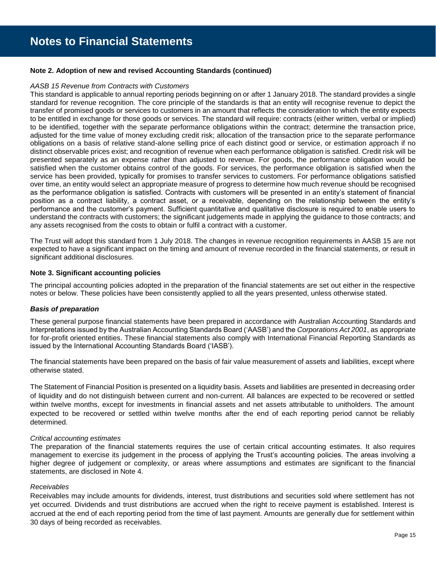### **Note 2. Adoption of new and revised Accounting Standards (continued)**

#### *AASB 15 Revenue from Contracts with Customers*

This standard is applicable to annual reporting periods beginning on or after 1 January 2018. The standard provides a single standard for revenue recognition. The core principle of the standards is that an entity will recognise revenue to depict the transfer of promised goods or services to customers in an amount that reflects the consideration to which the entity expects to be entitled in exchange for those goods or services. The standard will require: contracts (either written, verbal or implied) to be identified, together with the separate performance obligations within the contract; determine the transaction price, adjusted for the time value of money excluding credit risk; allocation of the transaction price to the separate performance obligations on a basis of relative stand-alone selling price of each distinct good or service, or estimation approach if no distinct observable prices exist; and recognition of revenue when each performance obligation is satisfied. Credit risk will be presented separately as an expense rather than adjusted to revenue. For goods, the performance obligation would be satisfied when the customer obtains control of the goods. For services, the performance obligation is satisfied when the service has been provided, typically for promises to transfer services to customers. For performance obligations satisfied over time, an entity would select an appropriate measure of progress to determine how much revenue should be recognised as the performance obligation is satisfied. Contracts with customers will be presented in an entity's statement of financial position as a contract liability, a contract asset, or a receivable, depending on the relationship between the entity's performance and the customer's payment. Sufficient quantitative and qualitative disclosure is required to enable users to understand the contracts with customers; the significant judgements made in applying the guidance to those contracts; and any assets recognised from the costs to obtain or fulfil a contract with a customer.

The Trust will adopt this standard from 1 July 2018. The changes in revenue recognition requirements in AASB 15 are not expected to have a significant impact on the timing and amount of revenue recorded in the financial statements, or result in significant additional disclosures.

## **Note 3. Significant accounting policies**

The principal accounting policies adopted in the preparation of the financial statements are set out either in the respective notes or below. These policies have been consistently applied to all the years presented, unless otherwise stated.

#### *Basis of preparation*

These general purpose financial statements have been prepared in accordance with Australian Accounting Standards and Interpretations issued by the Australian Accounting Standards Board ('AASB') and the *Corporations Act 2001*, as appropriate for for-profit oriented entities. These financial statements also comply with International Financial Reporting Standards as issued by the International Accounting Standards Board ('IASB').

The financial statements have been prepared on the basis of fair value measurement of assets and liabilities, except where otherwise stated.

The Statement of Financial Position is presented on a liquidity basis. Assets and liabilities are presented in decreasing order of liquidity and do not distinguish between current and non-current. All balances are expected to be recovered or settled within twelve months, except for investments in financial assets and net assets attributable to unitholders. The amount expected to be recovered or settled within twelve months after the end of each reporting period cannot be reliably determined.

#### *Critical accounting estimates*

The preparation of the financial statements requires the use of certain critical accounting estimates. It also requires management to exercise its judgement in the process of applying the Trust's accounting policies. The areas involving a higher degree of judgement or complexity, or areas where assumptions and estimates are significant to the financial statements, are disclosed in Note 4.

#### *Receivables*

Receivables may include amounts for dividends, interest, trust distributions and securities sold where settlement has not yet occurred. Dividends and trust distributions are accrued when the right to receive payment is established. Interest is accrued at the end of each reporting period from the time of last payment. Amounts are generally due for settlement within 30 days of being recorded as receivables.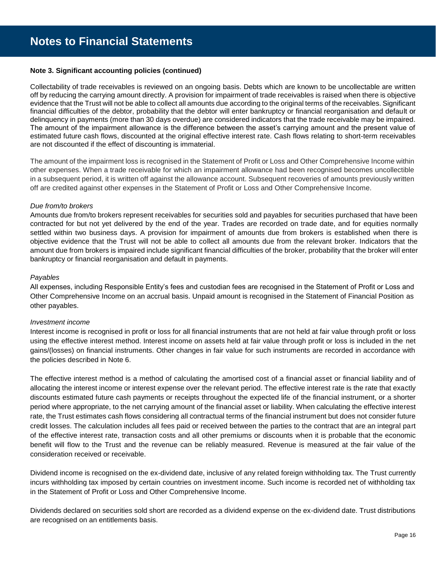## **Note 3. Significant accounting policies (continued)**

Collectability of trade receivables is reviewed on an ongoing basis. Debts which are known to be uncollectable are written off by reducing the carrying amount directly. A provision for impairment of trade receivables is raised when there is objective evidence that the Trust will not be able to collect all amounts due according to the original terms of the receivables. Significant financial difficulties of the debtor, probability that the debtor will enter bankruptcy or financial reorganisation and default or delinquency in payments (more than 30 days overdue) are considered indicators that the trade receivable may be impaired. The amount of the impairment allowance is the difference between the asset's carrying amount and the present value of estimated future cash flows, discounted at the original effective interest rate. Cash flows relating to short-term receivables are not discounted if the effect of discounting is immaterial.

The amount of the impairment loss is recognised in the Statement of Profit or Loss and Other Comprehensive Income within other expenses. When a trade receivable for which an impairment allowance had been recognised becomes uncollectible in a subsequent period, it is written off against the allowance account. Subsequent recoveries of amounts previously written off are credited against other expenses in the Statement of Profit or Loss and Other Comprehensive Income.

## *Due from/to brokers*

Amounts due from/to brokers represent receivables for securities sold and payables for securities purchased that have been contracted for but not yet delivered by the end of the year. Trades are recorded on trade date, and for equities normally settled within two business days. A provision for impairment of amounts due from brokers is established when there is objective evidence that the Trust will not be able to collect all amounts due from the relevant broker. Indicators that the amount due from brokers is impaired include significant financial difficulties of the broker, probability that the broker will enter bankruptcy or financial reorganisation and default in payments.

## *Payables*

All expenses, including Responsible Entity's fees and custodian fees are recognised in the Statement of Profit or Loss and Other Comprehensive Income on an accrual basis. Unpaid amount is recognised in the Statement of Financial Position as other payables.

## *Investment income*

Interest income is recognised in profit or loss for all financial instruments that are not held at fair value through profit or loss using the effective interest method. Interest income on assets held at fair value through profit or loss is included in the net gains/(losses) on financial instruments. Other changes in fair value for such instruments are recorded in accordance with the policies described in Note 6.

The effective interest method is a method of calculating the amortised cost of a financial asset or financial liability and of allocating the interest income or interest expense over the relevant period. The effective interest rate is the rate that exactly discounts estimated future cash payments or receipts throughout the expected life of the financial instrument, or a shorter period where appropriate, to the net carrying amount of the financial asset or liability. When calculating the effective interest rate, the Trust estimates cash flows considering all contractual terms of the financial instrument but does not consider future credit losses. The calculation includes all fees paid or received between the parties to the contract that are an integral part of the effective interest rate, transaction costs and all other premiums or discounts when it is probable that the economic benefit will flow to the Trust and the revenue can be reliably measured. Revenue is measured at the fair value of the consideration received or receivable.

Dividend income is recognised on the ex-dividend date, inclusive of any related foreign withholding tax. The Trust currently incurs withholding tax imposed by certain countries on investment income. Such income is recorded net of withholding tax in the Statement of Profit or Loss and Other Comprehensive Income.

Dividends declared on securities sold short are recorded as a dividend expense on the ex-dividend date. Trust distributions are recognised on an entitlements basis.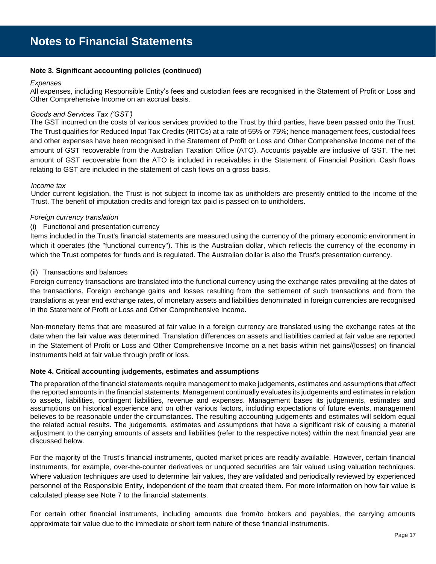## **Note 3. Significant accounting policies (continued)**

#### *Expenses*

All expenses, including Responsible Entity's fees and custodian fees are recognised in the Statement of Profit or Loss and Other Comprehensive Income on an accrual basis.

## *Goods and Services Tax ('GST')*

The GST incurred on the costs of various services provided to the Trust by third parties, have been passed onto the Trust. The Trust qualifies for Reduced Input Tax Credits (RITCs) at a rate of 55% or 75%; hence management fees, custodial fees and other expenses have been recognised in the Statement of Profit or Loss and Other Comprehensive Income net of the amount of GST recoverable from the Australian Taxation Office (ATO). Accounts payable are inclusive of GST. The net amount of GST recoverable from the ATO is included in receivables in the Statement of Financial Position. Cash flows relating to GST are included in the statement of cash flows on a gross basis.

#### *Income tax*

Under current legislation, the Trust is not subject to income tax as unitholders are presently entitled to the income of the Trust. The benefit of imputation credits and foreign tax paid is passed on to unitholders.

#### *Foreign currency translation*

## (i) Functional and presentation currency

Items included in the Trust's financial statements are measured using the currency of the primary economic environment in which it operates (the "functional currency"). This is the Australian dollar, which reflects the currency of the economy in which the Trust competes for funds and is regulated. The Australian dollar is also the Trust's presentation currency.

#### (ii) Transactions and balances

Foreign currency transactions are translated into the functional currency using the exchange rates prevailing at the dates of the transactions. Foreign exchange gains and losses resulting from the settlement of such transactions and from the translations at year end exchange rates, of monetary assets and liabilities denominated in foreign currencies are recognised in the Statement of Profit or Loss and Other Comprehensive Income.

Non-monetary items that are measured at fair value in a foreign currency are translated using the exchange rates at the date when the fair value was determined. Translation differences on assets and liabilities carried at fair value are reported in the Statement of Profit or Loss and Other Comprehensive Income on a net basis within net gains/(losses) on financial instruments held at fair value through profit or loss.

#### **Note 4. Critical accounting judgements, estimates and assumptions**

The preparation of the financial statements require management to make judgements, estimates and assumptions that affect the reported amounts in the financial statements. Management continually evaluates its judgements and estimates in relation to assets, liabilities, contingent liabilities, revenue and expenses. Management bases its judgements, estimates and assumptions on historical experience and on other various factors, including expectations of future events, management believes to be reasonable under the circumstances. The resulting accounting judgements and estimates will seldom equal the related actual results. The judgements, estimates and assumptions that have a significant risk of causing a material adjustment to the carrying amounts of assets and liabilities (refer to the respective notes) within the next financial year are discussed below.

For the majority of the Trust's financial instruments, quoted market prices are readily available. However, certain financial instruments, for example, over-the-counter derivatives or unquoted securities are fair valued using valuation techniques. Where valuation techniques are used to determine fair values, they are validated and periodically reviewed by experienced personnel of the Responsible Entity, independent of the team that created them. For more information on how fair value is calculated please see Note 7 to the financial statements.

For certain other financial instruments, including amounts due from/to brokers and payables, the carrying amounts approximate fair value due to the immediate or short term nature of these financial instruments.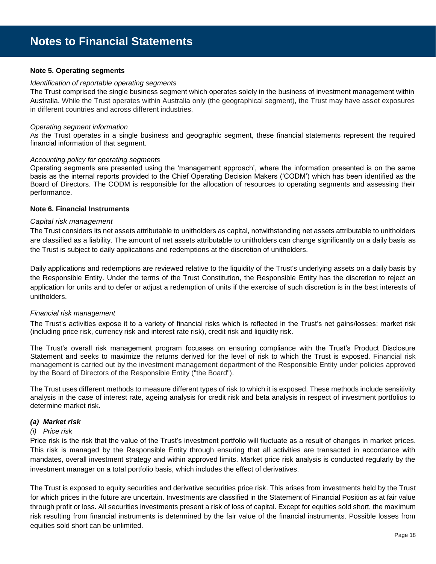## **Note 5. Operating segments**

## *Identification of reportable operating segments*

The Trust comprised the single business segment which operates solely in the business of investment management within Australia. While the Trust operates within Australia only (the geographical segment), the Trust may have asset exposures in different countries and across different industries.

#### *Operating segment information*

As the Trust operates in a single business and geographic segment, these financial statements represent the required financial information of that segment.

#### *Accounting policy for operating segments*

Operating segments are presented using the 'management approach', where the information presented is on the same basis as the internal reports provided to the Chief Operating Decision Makers ('CODM') which has been identified as the Board of Directors. The CODM is responsible for the allocation of resources to operating segments and assessing their performance.

## **Note 6. Financial Instruments**

## *Capital risk management*

The Trust considers its net assets attributable to unitholders as capital, notwithstanding net assets attributable to unitholders are classified as a liability. The amount of net assets attributable to unitholders can change significantly on a daily basis as the Trust is subject to daily applications and redemptions at the discretion of unitholders.

Daily applications and redemptions are reviewed relative to the liquidity of the Trust's underlying assets on a daily basis by the Responsible Entity. Under the terms of the Trust Constitution, the Responsible Entity has the discretion to reject an application for units and to defer or adjust a redemption of units if the exercise of such discretion is in the best interests of unitholders.

## *Financial risk management*

The Trust's activities expose it to a variety of financial risks which is reflected in the Trust's net gains/losses: market risk (including price risk, currency risk and interest rate risk), credit risk and liquidity risk.

The Trust's overall risk management program focusses on ensuring compliance with the Trust's Product Disclosure Statement and seeks to maximize the returns derived for the level of risk to which the Trust is exposed. Financial risk management is carried out by the investment management department of the Responsible Entity under policies approved by the Board of Directors of the Responsible Entity ("the Board").

The Trust uses different methods to measure different types of risk to which it is exposed. These methods include sensitivity analysis in the case of interest rate, ageing analysis for credit risk and beta analysis in respect of investment portfolios to determine market risk.

## *(a) Market risk*

#### *(i) Price risk*

Price risk is the risk that the value of the Trust's investment portfolio will fluctuate as a result of changes in market prices. This risk is managed by the Responsible Entity through ensuring that all activities are transacted in accordance with mandates, overall investment strategy and within approved limits. Market price risk analysis is conducted regularly by the investment manager on a total portfolio basis, which includes the effect of derivatives.

The Trust is exposed to equity securities and derivative securities price risk. This arises from investments held by the Trust for which prices in the future are uncertain. Investments are classified in the Statement of Financial Position as at fair value through profit or loss. All securities investments present a risk of loss of capital. Except for equities sold short, the maximum risk resulting from financial instruments is determined by the fair value of the financial instruments. Possible losses from equities sold short can be unlimited.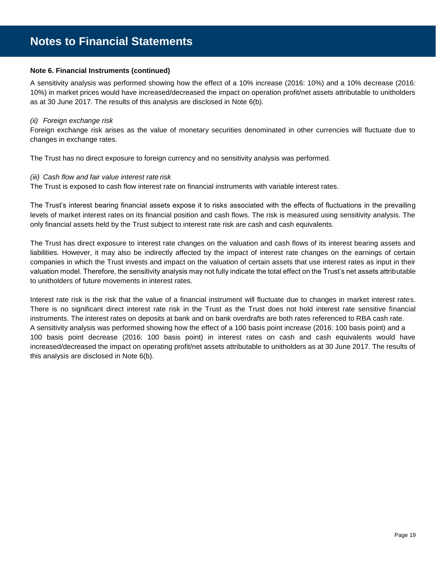## **Note 6. Financial Instruments (continued)**

A sensitivity analysis was performed showing how the effect of a 10% increase (2016: 10%) and a 10% decrease (2016: 10%) in market prices would have increased/decreased the impact on operation profit/net assets attributable to unitholders as at 30 June 2017. The results of this analysis are disclosed in Note 6(b).

#### *(ii) Foreign exchange risk*

Foreign exchange risk arises as the value of monetary securities denominated in other currencies will fluctuate due to changes in exchange rates.

The Trust has no direct exposure to foreign currency and no sensitivity analysis was performed.

#### *(iii) Cash flow and fair value interest rate risk*

The Trust is exposed to cash flow interest rate on financial instruments with variable interest rates.

The Trust's interest bearing financial assets expose it to risks associated with the effects of fluctuations in the prevailing levels of market interest rates on its financial position and cash flows. The risk is measured using sensitivity analysis. The only financial assets held by the Trust subject to interest rate risk are cash and cash equivalents.

The Trust has direct exposure to interest rate changes on the valuation and cash flows of its interest bearing assets and liabilities. However, it may also be indirectly affected by the impact of interest rate changes on the earnings of certain companies in which the Trust invests and impact on the valuation of certain assets that use interest rates as input in their valuation model. Therefore, the sensitivity analysis may not fully indicate the total effect on the Trust's net assets attributable to unitholders of future movements in interest rates.

Interest rate risk is the risk that the value of a financial instrument will fluctuate due to changes in market interest rates. There is no significant direct interest rate risk in the Trust as the Trust does not hold interest rate sensitive financial instruments. The interest rates on deposits at bank and on bank overdrafts are both rates referenced to RBA cash rate. A sensitivity analysis was performed showing how the effect of a 100 basis point increase (2016: 100 basis point) and a 100 basis point decrease (2016: 100 basis point) in interest rates on cash and cash equivalents would have increased/decreased the impact on operating profit/net assets attributable to unitholders as at 30 June 2017. The results of this analysis are disclosed in Note 6(b).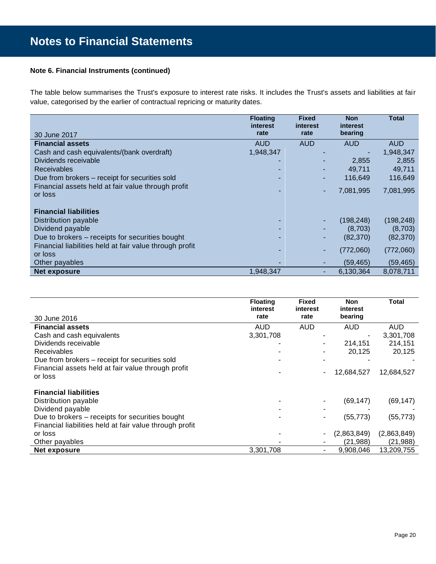## **Note 6. Financial Instruments (continued)**

The table below summarises the Trust's exposure to interest rate risks. It includes the Trust's assets and liabilities at fair value, categorised by the earlier of contractual repricing or maturity dates.

|                                                               | <b>Floating</b><br>interest | <b>Fixed</b><br>interest | <b>Non</b><br>interest | <b>Total</b> |
|---------------------------------------------------------------|-----------------------------|--------------------------|------------------------|--------------|
| 30 June 2017                                                  | rate                        | rate                     | bearing                |              |
| <b>Financial assets</b>                                       | <b>AUD</b>                  | <b>AUD</b>               | <b>AUD</b>             | <b>AUD</b>   |
| Cash and cash equivalents/(bank overdraft)                    | 1,948,347                   |                          |                        | 1,948,347    |
| Dividends receivable                                          |                             |                          | 2,855                  | 2,855        |
| <b>Receivables</b>                                            |                             |                          | 49.711                 | 49,711       |
| Due from brokers – receipt for securities sold                |                             | ۰.                       | 116.649                | 116,649      |
| Financial assets held at fair value through profit<br>or loss |                             | ۰                        | 7,081,995              | 7,081,995    |
|                                                               |                             |                          |                        |              |
| <b>Financial liabilities</b>                                  |                             |                          |                        |              |
| Distribution payable                                          |                             |                          | (198,248)              | (198, 248)   |
| Dividend payable                                              |                             |                          | (8,703)                | (8,703)      |
| Due to brokers – receipts for securities bought               |                             |                          | (82, 370)              | (82, 370)    |
| Financial liabilities held at fair value through profit       |                             |                          | (772,060)              | (772,060)    |
| or loss                                                       |                             |                          |                        |              |
| Other payables                                                |                             |                          | (59, 465)              | (59, 465)    |
| <b>Net exposure</b>                                           | 1,948,347                   | -                        | 6,130,364              | 8,078,711    |

|                                                         | <b>Floating</b><br>interest | <b>Fixed</b><br>interest | <b>Non</b><br>interest | <b>Total</b> |
|---------------------------------------------------------|-----------------------------|--------------------------|------------------------|--------------|
| 30 June 2016                                            | rate                        | rate                     | bearing                |              |
| <b>Financial assets</b>                                 | AUD                         | <b>AUD</b>               | AUD                    | AUD          |
| Cash and cash equivalents                               | 3,301,708                   |                          |                        | 3,301,708    |
| Dividends receivable                                    |                             |                          | 214,151                | 214,151      |
| <b>Receivables</b>                                      |                             |                          | 20,125                 | 20,125       |
| Due from brokers - receipt for securities sold          |                             |                          |                        |              |
| Financial assets held at fair value through profit      |                             |                          | 12,684,527             | 12,684,527   |
| or loss                                                 |                             |                          |                        |              |
| <b>Financial liabilities</b>                            |                             |                          |                        |              |
| Distribution payable                                    |                             |                          | (69, 147)              | (69, 147)    |
| Dividend payable                                        |                             |                          |                        |              |
| Due to brokers – receipts for securities bought         |                             | ۰                        | (55, 773)              | (55, 773)    |
| Financial liabilities held at fair value through profit |                             |                          |                        |              |
| or loss                                                 |                             |                          | (2,863,849)            | (2,863,849)  |
| Other payables                                          |                             |                          | (21,988)               | (21, 988)    |
| Net exposure                                            | 3,301,708                   | ۰                        | 9,908,046              | 13,209,755   |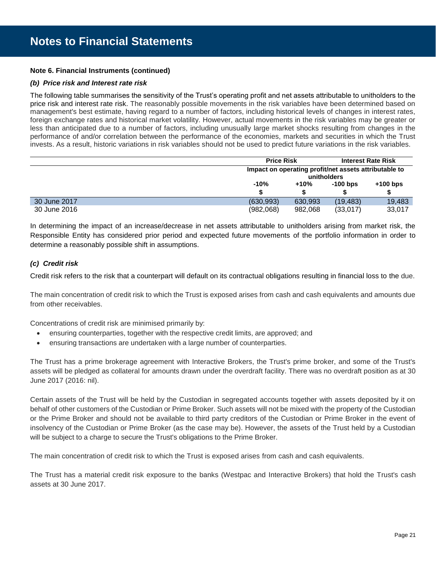## **Note 6. Financial Instruments (continued)**

## *(b) Price risk and Interest rate risk*

The following table summarises the sensitivity of the Trust's operating profit and net assets attributable to unitholders to the price risk and interest rate risk. The reasonably possible movements in the risk variables have been determined based on management's best estimate, having regard to a number of factors, including historical levels of changes in interest rates, foreign exchange rates and historical market volatility. However, actual movements in the risk variables may be greater or less than anticipated due to a number of factors, including unusually large market shocks resulting from changes in the performance of and/or correlation between the performance of the economies, markets and securities in which the Trust invests. As a result, historic variations in risk variables should not be used to predict future variations in the risk variables.

|              |            | <b>Price Risk</b>                                     |            | <b>Interest Rate Risk</b> |
|--------------|------------|-------------------------------------------------------|------------|---------------------------|
|              |            | Impact on operating profit/net assets attributable to |            |                           |
|              |            | unitholders                                           |            |                           |
|              | $-10%$     | +10%                                                  | $-100$ bps | $+100$ bps                |
|              |            |                                                       |            |                           |
| 30 June 2017 | (630, 993) | 630,993                                               | (19.483)   | 19,483                    |
| 30 June 2016 | (982,068)  | 982.068                                               | (33,017)   | 33,017                    |

In determining the impact of an increase/decrease in net assets attributable to unitholders arising from market risk, the Responsible Entity has considered prior period and expected future movements of the portfolio information in order to determine a reasonably possible shift in assumptions.

## *(c) Credit risk*

Credit risk refers to the risk that a counterpart will default on its contractual obligations resulting in financial loss to the due.

The main concentration of credit risk to which the Trust is exposed arises from cash and cash equivalents and amounts due from other receivables.

Concentrations of credit risk are minimised primarily by:

- ensuring counterparties, together with the respective credit limits, are approved; and
- ensuring transactions are undertaken with a large number of counterparties.

The Trust has a prime brokerage agreement with Interactive Brokers, the Trust's prime broker, and some of the Trust's assets will be pledged as collateral for amounts drawn under the overdraft facility. There was no overdraft position as at 30 June 2017 (2016: nil).

Certain assets of the Trust will be held by the Custodian in segregated accounts together with assets deposited by it on behalf of other customers of the Custodian or Prime Broker. Such assets will not be mixed with the property of the Custodian or the Prime Broker and should not be available to third party creditors of the Custodian or Prime Broker in the event of insolvency of the Custodian or Prime Broker (as the case may be). However, the assets of the Trust held by a Custodian will be subject to a charge to secure the Trust's obligations to the Prime Broker.

The main concentration of credit risk to which the Trust is exposed arises from cash and cash equivalents.

The Trust has a material credit risk exposure to the banks (Westpac and Interactive Brokers) that hold the Trust's cash assets at 30 June 2017.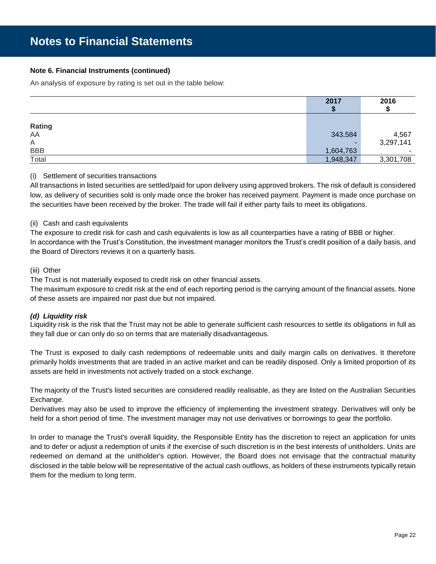## **Note 6. Financial Instruments (continued)**

An analysis of exposure by rating is set out in the table below:

|            | 2017      | 2016      |
|------------|-----------|-----------|
|            |           |           |
|            |           |           |
| Rating     |           |           |
| AA         | 343,584   | 4,567     |
| A          |           | 3,297,141 |
| <b>BBB</b> | 1,604,763 |           |
| Total      | 1,948,347 | 3,301,708 |

## (i) Settlement of securities transactions

All transactions in listed securities are settled/paid for upon delivery using approved brokers. The risk of default is considered low, as delivery of securities sold is only made once the broker has received payment. Payment is made once purchase on the securities have been received by the broker. The trade will fail if either party fails to meet its obligations.

## (ii) Cash and cash equivalents

The exposure to credit risk for cash and cash equivalents is low as all counterparties have a rating of BBB or higher. In accordance with the Trust's Constitution, the investment manager monitors the Trust's credit position of a daily basis, and the Board of Directors reviews it on a quarterly basis.

## (iii) Other

The Trust is not materially exposed to credit risk on other financial assets.

The maximum exposure to credit risk at the end of each reporting period is the carrying amount of the financial assets. None of these assets are impaired nor past due but not impaired.

## *(d) Liquidity risk*

Liquidity risk is the risk that the Trust may not be able to generate sufficient cash resources to settle its obligations in full as they fall due or can only do so on terms that are materially disadvantageous.

The Trust is exposed to daily cash redemptions of redeemable units and daily margin calls on derivatives. It therefore primarily holds investments that are traded in an active market and can be readily disposed. Only a limited proportion of its assets are held in investments not actively traded on a stock exchange.

The majority of the Trust's listed securities are considered readily realisable, as they are listed on the Australian Securities Exchange.

Derivatives may also be used to improve the efficiency of implementing the investment strategy. Derivatives will only be held for a short period of time. The investment manager may not use derivatives or borrowings to gear the portfolio.

In order to manage the Trust's overall liquidity, the Responsible Entity has the discretion to reject an application for units and to defer or adjust a redemption of units if the exercise of such discretion is in the best interests of unitholders. Units are redeemed on demand at the unitholder's option. However, the Board does not envisage that the contractual maturity disclosed in the table below will be representative of the actual cash outflows, as holders of these instruments typically retain them for the medium to long term.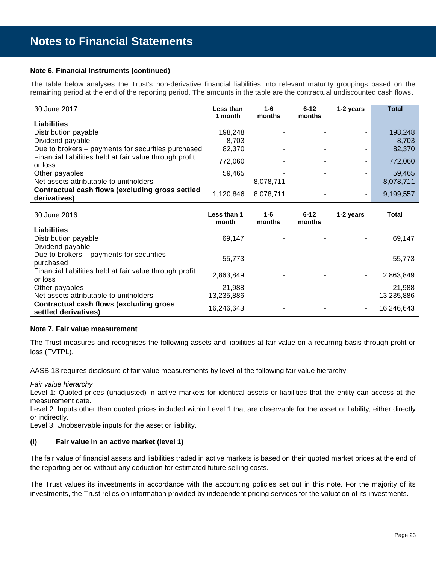## **Note 6. Financial Instruments (continued)**

The table below analyses the Trust's non-derivative financial liabilities into relevant maturity groupings based on the remaining period at the end of the reporting period. The amounts in the table are the contractual undiscounted cash flows.

| 30 June 2017                                                       | Less than<br>1 month | $1 - 6$<br>months | $6 - 12$<br>months       | 1-2 years                | <b>Total</b> |
|--------------------------------------------------------------------|----------------------|-------------------|--------------------------|--------------------------|--------------|
| <b>Liabilities</b>                                                 |                      |                   |                          |                          |              |
| Distribution payable                                               | 198,248              |                   |                          | ۰                        | 198,248      |
| Dividend payable                                                   | 8.703                |                   |                          | ۰                        | 8,703        |
| Due to brokers – payments for securities purchased                 | 82.370               |                   |                          | ۰                        | 82,370       |
| Financial liabilities held at fair value through profit<br>or loss | 772,060              |                   |                          | $\overline{\phantom{a}}$ | 772,060      |
| Other payables                                                     | 59.465               |                   | $\overline{\phantom{a}}$ | ۰                        | 59,465       |
| Net assets attributable to unitholders                             |                      | 8,078,711         |                          | $\blacksquare$           | 8,078,711    |
| Contractual cash flows (excluding gross settled<br>derivatives)    | 1,120,846            | 8.078.711         |                          | ۰.                       | 9,199,557    |

| 30 June 2016                                                            | Less than 1<br>month | 1-6<br>months | $6 - 12$<br>months | 1-2 years | <b>Total</b> |
|-------------------------------------------------------------------------|----------------------|---------------|--------------------|-----------|--------------|
| <b>Liabilities</b>                                                      |                      |               |                    |           |              |
| Distribution payable                                                    | 69,147               |               |                    | ۰         | 69,147       |
| Dividend payable                                                        |                      |               |                    | -         |              |
| Due to brokers – payments for securities<br>purchased                   | 55,773               |               |                    | ۰         | 55,773       |
| Financial liabilities held at fair value through profit<br>or loss      | 2,863,849            |               |                    | -         | 2,863,849    |
| Other payables                                                          | 21.988               |               |                    | ۰         | 21,988       |
| Net assets attributable to unitholders                                  | 13,235,886           |               |                    | -         | 13,235,886   |
| <b>Contractual cash flows (excluding gross)</b><br>settled derivatives) | 16,246,643           |               |                    | -         | 16,246,643   |

## **Note 7. Fair value measurement**

The Trust measures and recognises the following assets and liabilities at fair value on a recurring basis through profit or loss (FVTPL).

AASB 13 requires disclosure of fair value measurements by level of the following fair value hierarchy:

*Fair value hierarchy*

Level 1: Quoted prices (unadjusted) in active markets for identical assets or liabilities that the entity can access at the measurement date.

Level 2: Inputs other than quoted prices included within Level 1 that are observable for the asset or liability, either directly or indirectly.

Level 3: Unobservable inputs for the asset or liability.

## **(i) Fair value in an active market (level 1)**

The fair value of financial assets and liabilities traded in active markets is based on their quoted market prices at the end of the reporting period without any deduction for estimated future selling costs.

The Trust values its investments in accordance with the accounting policies set out in this note. For the majority of its investments, the Trust relies on information provided by independent pricing services for the valuation of its investments.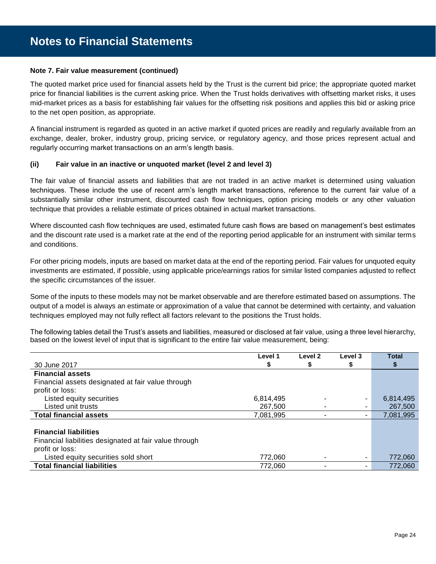## **Note 7. Fair value measurement (continued)**

The quoted market price used for financial assets held by the Trust is the current bid price; the appropriate quoted market price for financial liabilities is the current asking price. When the Trust holds derivatives with offsetting market risks, it uses mid-market prices as a basis for establishing fair values for the offsetting risk positions and applies this bid or asking price to the net open position, as appropriate.

A financial instrument is regarded as quoted in an active market if quoted prices are readily and regularly available from an exchange, dealer, broker, industry group, pricing service, or regulatory agency, and those prices represent actual and regularly occurring market transactions on an arm's length basis.

## **(ii) Fair value in an inactive or unquoted market (level 2 and level 3)**

The fair value of financial assets and liabilities that are not traded in an active market is determined using valuation techniques. These include the use of recent arm's length market transactions, reference to the current fair value of a substantially similar other instrument, discounted cash flow techniques, option pricing models or any other valuation technique that provides a reliable estimate of prices obtained in actual market transactions.

Where discounted cash flow techniques are used, estimated future cash flows are based on management's best estimates and the discount rate used is a market rate at the end of the reporting period applicable for an instrument with similar terms and conditions.

For other pricing models, inputs are based on market data at the end of the reporting period. Fair values for unquoted equity investments are estimated, if possible, using applicable price/earnings ratios for similar listed companies adjusted to reflect the specific circumstances of the issuer.

Some of the inputs to these models may not be market observable and are therefore estimated based on assumptions. The output of a model is always an estimate or approximation of a value that cannot be determined with certainty, and valuation techniques employed may not fully reflect all factors relevant to the positions the Trust holds.

The following tables detail the Trust's assets and liabilities, measured or disclosed at fair value, using a three level hierarchy, based on the lowest level of input that is significant to the entire fair value measurement, being:

|                                                        | Level 1   | Level 2 | Level 3 | <b>Total</b> |
|--------------------------------------------------------|-----------|---------|---------|--------------|
| 30 June 2017                                           | \$        | S       | \$      | \$           |
| <b>Financial assets</b>                                |           |         |         |              |
| Financial assets designated at fair value through      |           |         |         |              |
| profit or loss:                                        |           |         |         |              |
| Listed equity securities                               | 6,814,495 |         | ۰       | 6,814,495    |
| Listed unit trusts                                     | 267,500   | ۰       | ۰.      | 267,500      |
| <b>Total financial assets</b>                          | 7,081,995 |         | ۰.      | 7,081,995    |
|                                                        |           |         |         |              |
| <b>Financial liabilities</b>                           |           |         |         |              |
| Financial liabilities designated at fair value through |           |         |         |              |
| profit or loss:                                        |           |         |         |              |
| Listed equity securities sold short                    | 772.060   |         | ٠.      | 772,060      |
| <b>Total financial liabilities</b>                     | 772.060   |         | ۰.      | 772,060      |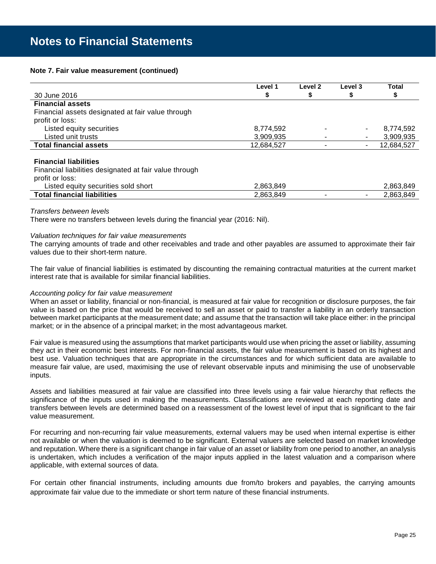## **Note 7. Fair value measurement (continued)**

|                                                   | Level 1    | Level 2 | Level 3 | <b>Total</b> |
|---------------------------------------------------|------------|---------|---------|--------------|
| 30 June 2016                                      |            |         |         | \$           |
| <b>Financial assets</b>                           |            |         |         |              |
| Financial assets designated at fair value through |            |         |         |              |
| profit or loss:                                   |            |         |         |              |
| Listed equity securities                          | 8,774,592  |         | ۰       | 8,774,592    |
| Listed unit trusts                                | 3,909,935  |         | ٠       | 3,909,935    |
| <b>Total financial assets</b>                     | 12,684,527 |         | ۰       | 12,684,527   |
|                                                   |            |         |         |              |

## **Financial liabilities**

Financial liabilities designated at fair value through

| profit or loss:                     |           |  |           |
|-------------------------------------|-----------|--|-----------|
| Listed equity securities sold short | 2,863,849 |  | 2,863,849 |
| <b>Total financial liabilities</b>  | 2,863,849 |  | 2,863,849 |

#### *Transfers between levels*

There were no transfers between levels during the financial year (2016: Nil).

## *Valuation techniques for fair value measurements*

The carrying amounts of trade and other receivables and trade and other payables are assumed to approximate their fair values due to their short-term nature.

The fair value of financial liabilities is estimated by discounting the remaining contractual maturities at the current market interest rate that is available for similar financial liabilities.

## *Accounting policy for fair value measurement*

When an asset or liability, financial or non-financial, is measured at fair value for recognition or disclosure purposes, the fair value is based on the price that would be received to sell an asset or paid to transfer a liability in an orderly transaction between market participants at the measurement date; and assume that the transaction will take place either: in the principal market; or in the absence of a principal market; in the most advantageous market.

Fair value is measured using the assumptions that market participants would use when pricing the asset or liability, assuming they act in their economic best interests. For non-financial assets, the fair value measurement is based on its highest and best use. Valuation techniques that are appropriate in the circumstances and for which sufficient data are available to measure fair value, are used, maximising the use of relevant observable inputs and minimising the use of unobservable inputs.

Assets and liabilities measured at fair value are classified into three levels using a fair value hierarchy that reflects the significance of the inputs used in making the measurements. Classifications are reviewed at each reporting date and transfers between levels are determined based on a reassessment of the lowest level of input that is significant to the fair value measurement.

For recurring and non-recurring fair value measurements, external valuers may be used when internal expertise is either not available or when the valuation is deemed to be significant. External valuers are selected based on market knowledge and reputation. Where there is a significant change in fair value of an asset or liability from one period to another, an analysis is undertaken, which includes a verification of the major inputs applied in the latest valuation and a comparison where applicable, with external sources of data.

For certain other financial instruments, including amounts due from/to brokers and payables, the carrying amounts approximate fair value due to the immediate or short term nature of these financial instruments.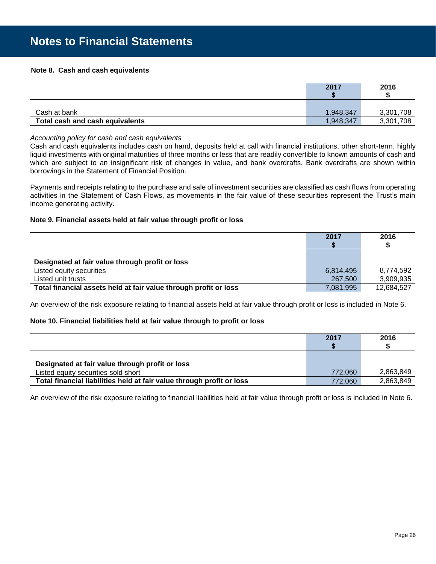## **Note 8. Cash and cash equivalents**

|                                 | 2017      | 2016      |
|---------------------------------|-----------|-----------|
|                                 |           |           |
|                                 |           |           |
| Cash at bank                    | 1,948,347 | 3,301,708 |
| Total cash and cash equivalents | 1,948,347 | 3,301,708 |

#### *Accounting policy for cash and cash equivalents*

Cash and cash equivalents includes cash on hand, deposits held at call with financial institutions, other short-term, highly liquid investments with original maturities of three months or less that are readily convertible to known amounts of cash and which are subject to an insignificant risk of changes in value, and bank overdrafts. Bank overdrafts are shown within borrowings in the Statement of Financial Position.

Payments and receipts relating to the purchase and sale of investment securities are classified as cash flows from operating activities in the Statement of Cash Flows, as movements in the fair value of these securities represent the Trust's main income generating activity.

## **Note 9. Financial assets held at fair value through profit or loss**

|                                                                  | 2017      | 2016       |
|------------------------------------------------------------------|-----------|------------|
| Designated at fair value through profit or loss                  |           |            |
| Listed equity securities                                         | 6,814,495 | 8,774,592  |
| Listed unit trusts                                               | 267,500   | 3,909,935  |
| Total financial assets held at fair value through profit or loss | 7,081,995 | 12,684,527 |

An overview of the risk exposure relating to financial assets held at fair value through profit or loss is included in Note 6.

## **Note 10. Financial liabilities held at fair value through to profit or loss**

|                                                                       | 2017    | 2016      |
|-----------------------------------------------------------------------|---------|-----------|
|                                                                       |         |           |
|                                                                       |         |           |
| Designated at fair value through profit or loss                       |         |           |
| Listed equity securities sold short                                   | 772,060 | 2,863,849 |
| Total financial liabilities held at fair value through profit or loss | 772.060 | 2,863,849 |

An overview of the risk exposure relating to financial liabilities held at fair value through profit or loss is included in Note 6.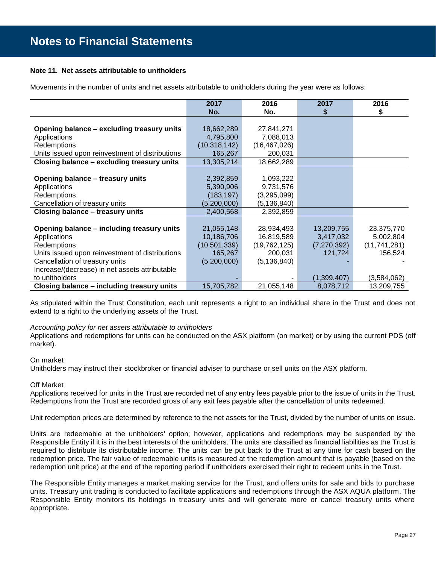## **Note 11. Net assets attributable to unitholders**

Movements in the number of units and net assets attributable to unitholders during the year were as follows:

|                                                 | 2017           | 2016           | 2017          | 2016           |
|-------------------------------------------------|----------------|----------------|---------------|----------------|
|                                                 | No.            | No.            | \$            | \$             |
|                                                 |                |                |               |                |
| Opening balance - excluding treasury units      | 18,662,289     | 27,841,271     |               |                |
| Applications                                    | 4,795,800      | 7,088,013      |               |                |
| Redemptions                                     | (10, 318, 142) | (16, 467, 026) |               |                |
| Units issued upon reinvestment of distributions | 165,267        | 200,031        |               |                |
| Closing balance - excluding treasury units      | 13,305,214     | 18,662,289     |               |                |
|                                                 |                |                |               |                |
| Opening balance - treasury units                | 2,392,859      | 1,093,222      |               |                |
| Applications                                    | 5,390,906      | 9,731,576      |               |                |
| Redemptions                                     | (183, 197)     | (3,295,099)    |               |                |
| Cancellation of treasury units                  | (5,200,000)    | (5, 136, 840)  |               |                |
| Closing balance - treasury units                | 2,400,568      | 2,392,859      |               |                |
|                                                 |                |                |               |                |
| Opening balance - including treasury units      | 21,055,148     | 28,934,493     | 13,209,755    | 23,375,770     |
| Applications                                    | 10,186,706     | 16,819,589     | 3,417,032     | 5,002,804      |
| Redemptions                                     | (10, 501, 339) | (19, 762, 125) | (7, 270, 392) | (11, 741, 281) |
| Units issued upon reinvestment of distributions | 165,267        | 200,031        | 121,724       | 156,524        |
| Cancellation of treasury units                  | (5,200,000)    | (5, 136, 840)  |               |                |
| Increase/(decrease) in net assets attributable  |                |                |               |                |
| to unitholders                                  |                |                | (1,399,407)   | (3,584,062)    |
| Closing balance - including treasury units      | 15,705,782     | 21,055,148     | 8,078,712     | 13,209,755     |

As stipulated within the Trust Constitution, each unit represents a right to an individual share in the Trust and does not extend to a right to the underlying assets of the Trust.

## *Accounting policy for net assets attributable to unitholders*

Applications and redemptions for units can be conducted on the ASX platform (on market) or by using the current PDS (off market).

## On market

Unitholders may instruct their stockbroker or financial adviser to purchase or sell units on the ASX platform.

## Off Market

Applications received for units in the Trust are recorded net of any entry fees payable prior to the issue of units in the Trust. Redemptions from the Trust are recorded gross of any exit fees payable after the cancellation of units redeemed.

Unit redemption prices are determined by reference to the net assets for the Trust, divided by the number of units on issue.

Units are redeemable at the unitholders' option; however, applications and redemptions may be suspended by the Responsible Entity if it is in the best interests of the unitholders. The units are classified as financial liabilities as the Trust is required to distribute its distributable income. The units can be put back to the Trust at any time for cash based on the redemption price. The fair value of redeemable units is measured at the redemption amount that is payable (based on the redemption unit price) at the end of the reporting period if unitholders exercised their right to redeem units in the Trust.

The Responsible Entity manages a market making service for the Trust, and offers units for sale and bids to purchase units. Treasury unit trading is conducted to facilitate applications and redemptions through the ASX AQUA platform. The Responsible Entity monitors its holdings in treasury units and will generate more or cancel treasury units where appropriate.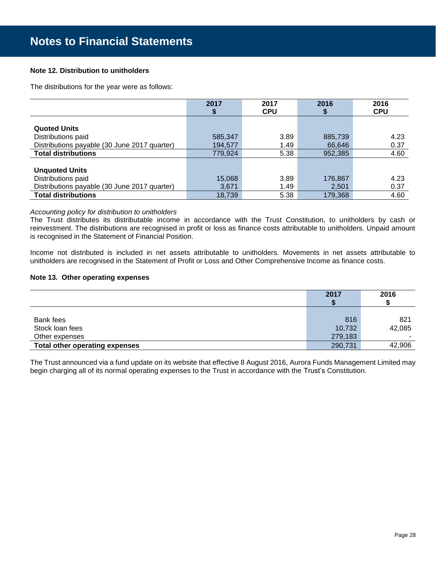## **Note 12. Distribution to unitholders**

The distributions for the year were as follows:

|                                              | 2017    | 2017       | 2016    | 2016       |
|----------------------------------------------|---------|------------|---------|------------|
|                                              |         | <b>CPU</b> |         | <b>CPU</b> |
|                                              |         |            |         |            |
| <b>Quoted Units</b>                          |         |            |         |            |
| Distributions paid                           | 585,347 | 3.89       | 885,739 | 4.23       |
| Distributions payable (30 June 2017 quarter) | 194.577 | 1.49       | 66,646  | 0.37       |
| <b>Total distributions</b>                   | 779.924 | 5.38       | 952,385 | 4.60       |
|                                              |         |            |         |            |
| <b>Unquoted Units</b>                        |         |            |         |            |
| Distributions paid                           | 15,068  | 3.89       | 176,867 | 4.23       |
| Distributions payable (30 June 2017 quarter) | 3,671   | 1.49       | 2,501   | 0.37       |
| <b>Total distributions</b>                   | 18,739  | 5.38       | 179,368 | 4.60       |

## *Accounting policy for distribution to unitholders*

The Trust distributes its distributable income in accordance with the Trust Constitution, to unitholders by cash or reinvestment. The distributions are recognised in profit or loss as finance costs attributable to unitholders. Unpaid amount is recognised in the Statement of Financial Position.

Income not distributed is included in net assets attributable to unitholders. Movements in net assets attributable to unitholders are recognised in the Statement of Profit or Loss and Other Comprehensive Income as finance costs.

## **Note 13. Other operating expenses**

|                                       | 2017    | 2016   |
|---------------------------------------|---------|--------|
|                                       |         |        |
| Bank fees                             | 816     | 821    |
| Stock loan fees                       | 10,732  | 42,085 |
| Other expenses                        | 279,183 |        |
| <b>Total other operating expenses</b> | 290,731 | 42,906 |

The Trust announced via a fund update on its website that effective 8 August 2016, Aurora Funds Management Limited may begin charging all of its normal operating expenses to the Trust in accordance with the Trust's Constitution.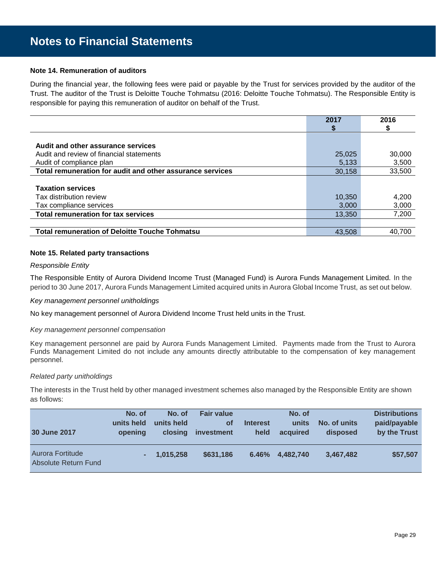### **Note 14. Remuneration of auditors**

During the financial year, the following fees were paid or payable by the Trust for services provided by the auditor of the Trust. The auditor of the Trust is Deloitte Touche Tohmatsu (2016: Deloitte Touche Tohmatsu). The Responsible Entity is responsible for paying this remuneration of auditor on behalf of the Trust.

|                                                           | 2017   | 2016   |
|-----------------------------------------------------------|--------|--------|
|                                                           |        |        |
|                                                           |        |        |
| Audit and other assurance services                        |        |        |
| Audit and review of financial statements                  | 25,025 | 30,000 |
| Audit of compliance plan                                  | 5,133  | 3,500  |
| Total remuneration for audit and other assurance services | 30.158 | 33,500 |
|                                                           |        |        |
| <b>Taxation services</b>                                  |        |        |
| Tax distribution review                                   | 10,350 | 4,200  |
| Tax compliance services                                   | 3,000  | 3,000  |
| <b>Total remuneration for tax services</b>                | 13,350 | 7,200  |
|                                                           |        |        |
| <b>Total remuneration of Deloitte Touche Tohmatsu</b>     | 43.508 | 40.700 |

#### **Note 15. Related party transactions**

#### *Responsible Entity*

The Responsible Entity of Aurora Dividend Income Trust (Managed Fund) is Aurora Funds Management Limited. In the period to 30 June 2017, Aurora Funds Management Limited acquired units in Aurora Global Income Trust, as set out below.

#### *Key management personnel unitholdings*

No key management personnel of Aurora Dividend Income Trust held units in the Trust.

#### *Key management personnel compensation*

Key management personnel are paid by Aurora Funds Management Limited. Payments made from the Trust to Aurora Funds Management Limited do not include any amounts directly attributable to the compensation of key management personnel.

#### *Related party unitholdings*

The interests in the Trust held by other managed investment schemes also managed by the Responsible Entity are shown as follows:

| <b>30 June 2017</b>                      | No. of<br>units held<br>opening | No. of<br>units held<br>closing | <b>Fair value</b><br><b>of</b><br><i>investment</i> | <b>Interest</b><br>held | No. of<br>units<br>acquired | No. of units<br>disposed | <b>Distributions</b><br>paid/payable<br>by the Trust |
|------------------------------------------|---------------------------------|---------------------------------|-----------------------------------------------------|-------------------------|-----------------------------|--------------------------|------------------------------------------------------|
| Aurora Fortitude<br>Absolute Return Fund |                                 | 1,015,258                       | \$631,186                                           | 6.46%                   | 4,482,740                   | 3,467,482                | \$57,507                                             |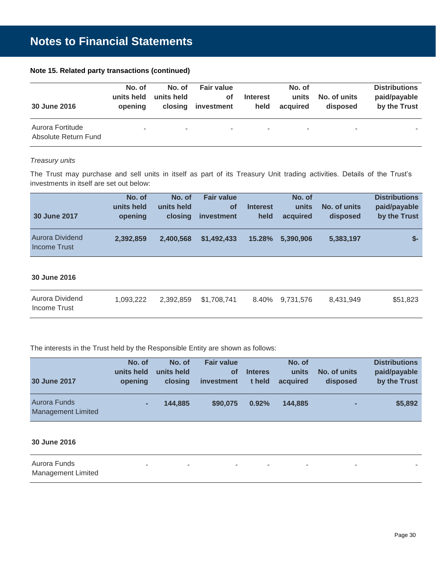|  |  | Note 15. Related party transactions (continued) |  |  |
|--|--|-------------------------------------------------|--|--|
|--|--|-------------------------------------------------|--|--|

| 30 June 2016                             | No. of<br>units held<br>opening | No. of<br>units held<br>closing | <b>Fair value</b><br>Οf<br>investment | <b>Interest</b><br>held  | No. of<br>units<br>acquired | No. of units<br>disposed | <b>Distributions</b><br>paid/payable<br>by the Trust |
|------------------------------------------|---------------------------------|---------------------------------|---------------------------------------|--------------------------|-----------------------------|--------------------------|------------------------------------------------------|
| Aurora Fortitude<br>Absolute Return Fund | $\sim$                          |                                 | ۰.                                    | $\overline{\phantom{a}}$ |                             |                          |                                                      |

## *Treasury units*

The Trust may purchase and sell units in itself as part of its Treasury Unit trading activities. Details of the Trust's investments in itself are set out below:

| 30 June 2017                           | No. of<br>units held<br>opening | No. of<br>units held<br>closing | <b>Fair value</b><br>Οf<br>investment | <b>Interest</b><br>held | No. of<br>units<br>acquired | No. of units<br>disposed | <b>Distributions</b><br>paid/payable<br>by the Trust |
|----------------------------------------|---------------------------------|---------------------------------|---------------------------------------|-------------------------|-----------------------------|--------------------------|------------------------------------------------------|
| <b>Aurora Dividend</b><br>Income Trust | 2,392,859                       | 2.400.568                       | \$1,492,433                           | $15.28\%$               | 5,390,906                   | 5,383,197                | $S-$                                                 |

## **30 June 2016**

| Aurora Dividend<br>Income Trust | 1.093.222 | 2,392,859 | \$1.708.741 | 8.40% 9.731.576 | 8.431.949 | \$51,823 |
|---------------------------------|-----------|-----------|-------------|-----------------|-----------|----------|
|                                 |           |           |             |                 |           |          |

The interests in the Trust held by the Responsible Entity are shown as follows:

|                                           | No. of     | No. of     | <b>Fair value</b> |                | No. of   |                          | <b>Distributions</b> |
|-------------------------------------------|------------|------------|-------------------|----------------|----------|--------------------------|----------------------|
|                                           | units held | units held | <b>of</b>         | <b>Interes</b> | units    | No. of units             | paid/payable         |
| 30 June 2017                              | opening    | closing    | <i>investment</i> | t held         | acquired | disposed                 | by the Trust         |
|                                           |            |            |                   |                |          |                          |                      |
| Aurora Funds<br><b>Management Limited</b> |            | 144,885    | \$90,075          | 0.92%          | 144.885  | $\overline{\phantom{a}}$ | \$5,892              |

## **30 June 2016**

| Aurora Funds              | $\overline{\phantom{a}}$ | $\sim$ | $\sim$ |  |
|---------------------------|--------------------------|--------|--------|--|
| <b>Management Limited</b> |                          |        |        |  |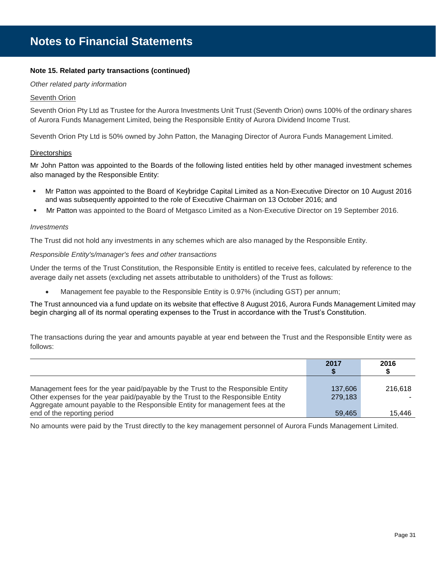## **Note 15. Related party transactions (continued)**

#### *Other related party information*

## Seventh Orion

Seventh Orion Pty Ltd as Trustee for the Aurora Investments Unit Trust (Seventh Orion) owns 100% of the ordinary shares of Aurora Funds Management Limited, being the Responsible Entity of Aurora Dividend Income Trust.

Seventh Orion Pty Ltd is 50% owned by John Patton, the Managing Director of Aurora Funds Management Limited.

#### **Directorships**

Mr John Patton was appointed to the Boards of the following listed entities held by other managed investment schemes also managed by the Responsible Entity:

- Mr Patton was appointed to the Board of Keybridge Capital Limited as a Non-Executive Director on 10 August 2016 and was subsequently appointed to the role of Executive Chairman on 13 October 2016; and
- Mr Patton was appointed to the Board of Metgasco Limited as a Non-Executive Director on 19 September 2016.

#### *Investments*

The Trust did not hold any investments in any schemes which are also managed by the Responsible Entity.

#### *Responsible Entity's/manager's fees and other transactions*

Under the terms of the Trust Constitution, the Responsible Entity is entitled to receive fees, calculated by reference to the average daily net assets (excluding net assets attributable to unitholders) of the Trust as follows:

Management fee payable to the Responsible Entity is 0.97% (including GST) per annum;

The Trust announced via a fund update on its website that effective 8 August 2016, Aurora Funds Management Limited may begin charging all of its normal operating expenses to the Trust in accordance with the Trust's Constitution.

The transactions during the year and amounts payable at year end between the Trust and the Responsible Entity were as follows:

|                                                                                                                                                                  | 2017    | 2016    |
|------------------------------------------------------------------------------------------------------------------------------------------------------------------|---------|---------|
|                                                                                                                                                                  |         |         |
|                                                                                                                                                                  |         |         |
| Management fees for the year paid/payable by the Trust to the Responsible Entity                                                                                 | 137,606 | 216.618 |
| Other expenses for the year paid/payable by the Trust to the Responsible Entity<br>Aggregate amount payable to the Responsible Entity for management fees at the | 279.183 |         |
| end of the reporting period                                                                                                                                      | 59.465  | 15.446  |

No amounts were paid by the Trust directly to the key management personnel of Aurora Funds Management Limited.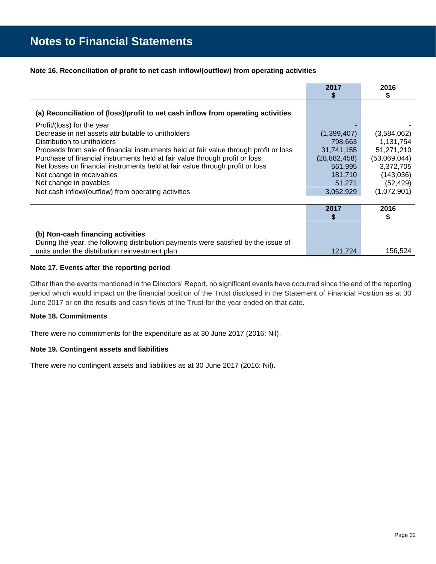## **Note 16. Reconciliation of profit to net cash inflow/(outflow) from operating activities**

|                                                                                       | 2017           | 2016         |
|---------------------------------------------------------------------------------------|----------------|--------------|
|                                                                                       |                |              |
| (a) Reconciliation of (loss)/profit to net cash inflow from operating activities      |                |              |
| Profit/(loss) for the year                                                            |                |              |
| Decrease in net assets attributable to unitholders                                    | (1,399,407)    | (3,584,062)  |
| Distribution to unitholders                                                           | 798,663        | 1,131,754    |
| Proceeds from sale of financial instruments held at fair value through profit or loss | 31,741,155     | 51,271,210   |
| Purchase of financial instruments held at fair value through profit or loss           | (28, 882, 458) | (53,069,044) |
| Net losses on financial instruments held at fair value through profit or loss         | 561,995        | 3,372,705    |
| Net change in receivables                                                             | 181,710        | (143,036)    |
| Net change in payables                                                                | 51,271         | (52, 429)    |
| Net cash inflow/(outflow) from operating activities                                   | 3,052,929      | (1,072,901)  |
|                                                                                       |                |              |
|                                                                                       | 2017           | 2016         |
|                                                                                       |                |              |
|                                                                                       |                |              |
| (b) Non-cash financing activities                                                     |                |              |
| During the year, the following distribution payments were satisfied by the issue of   |                |              |
| units under the distribution reinvestment plan                                        | 121,724        | 156,524      |

## **Note 17. Events after the reporting period**

Other than the events mentioned in the Directors' Report, no significant events have occurred since the end of the reporting period which would impact on the financial position of the Trust disclosed in the Statement of Financial Position as at 30 June 2017 or on the results and cash flows of the Trust for the year ended on that date.

## **Note 18. Commitments**

There were no commitments for the expenditure as at 30 June 2017 (2016: Nil).

## **Note 19. Contingent assets and liabilities**

There were no contingent assets and liabilities as at 30 June 2017 (2016: Nil).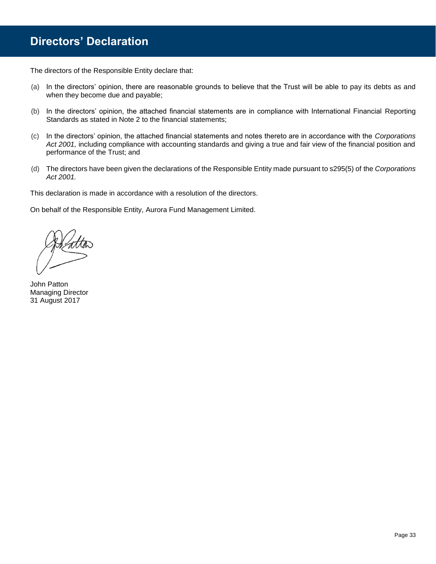## **Directors' Declaration**

The directors of the Responsible Entity declare that:

- (a) In the directors' opinion, there are reasonable grounds to believe that the Trust will be able to pay its debts as and when they become due and payable;
- (b) In the directors' opinion, the attached financial statements are in compliance with International Financial Reporting Standards as stated in Note 2 to the financial statements;
- (c) In the directors' opinion, the attached financial statements and notes thereto are in accordance with the *Corporations*  Act 2001, including compliance with accounting standards and giving a true and fair view of the financial position and performance of the Trust; and
- (d) The directors have been given the declarations of the Responsible Entity made pursuant to s295(5) of the *Corporations Act 2001.*

This declaration is made in accordance with a resolution of the directors.

On behalf of the Responsible Entity, Aurora Fund Management Limited.

John Patton Managing Director 31 August 2017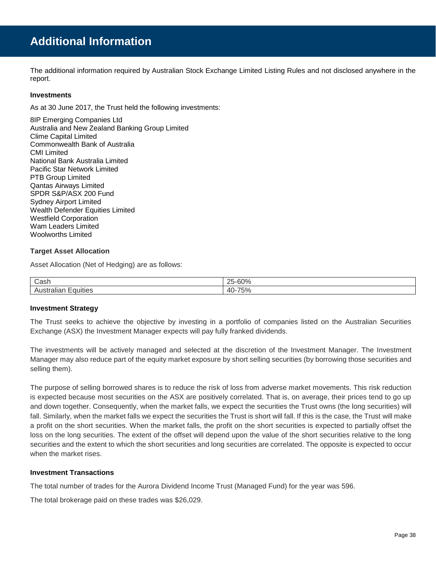## **Additional Information**

The additional information required by Australian Stock Exchange Limited Listing Rules and not disclosed anywhere in the report.

## **Investments**

As at 30 June 2017, the Trust held the following investments:

8IP Emerging Companies Ltd Australia and New Zealand Banking Group Limited Clime Capital Limited Commonwealth Bank of Australia CMI Limited National Bank Australia Limited Pacific Star Network Limited PTB Group Limited Qantas Airways Limited SPDR S&P/ASX 200 Fund Sydney Airport Limited Wealth Defender Equities Limited Westfield Corporation Wam Leaders Limited Woolworths Limited

## **Target Asset Allocation**

Asset Allocation (Net of Hedging) are as follows:

| ∽<br>Cash              | $\sim$ $\sim$ $\sim$<br>つに<br>70<br>υu  |
|------------------------|-----------------------------------------|
| - - --<br>dila'<br>いしご | $- - - -$<br>$\Delta \Gamma$<br>70<br>ᅮ |

## **Investment Strategy**

The Trust seeks to achieve the objective by investing in a portfolio of companies listed on the Australian Securities Exchange (ASX) the Investment Manager expects will pay fully franked dividends.

The investments will be actively managed and selected at the discretion of the Investment Manager. The Investment Manager may also reduce part of the equity market exposure by short selling securities (by borrowing those securities and selling them).

The purpose of selling borrowed shares is to reduce the risk of loss from adverse market movements. This risk reduction is expected because most securities on the ASX are positively correlated. That is, on average, their prices tend to go up and down together. Consequently, when the market falls, we expect the securities the Trust owns (the long securities) will fall. Similarly, when the market falls we expect the securities the Trust is short will fall. If this is the case, the Trust will make a profit on the short securities. When the market falls, the profit on the short securities is expected to partially offset the loss on the long securities. The extent of the offset will depend upon the value of the short securities relative to the long securities and the extent to which the short securities and long securities are correlated. The opposite is expected to occur when the market rises.

## **Investment Transactions**

The total number of trades for the Aurora Dividend Income Trust (Managed Fund) for the year was 596.

The total brokerage paid on these trades was \$26,029.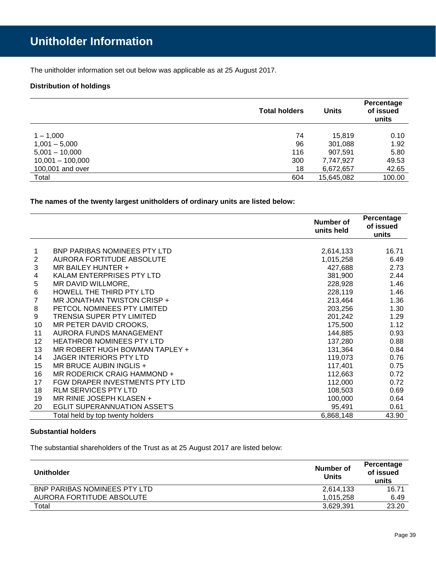The unitholder information set out below was applicable as at 25 August 2017.

## **Distribution of holdings**

|                    | <b>Total holders</b> | Units      | Percentage<br>of issued<br>units |
|--------------------|----------------------|------------|----------------------------------|
| $1 - 1,000$        | 74                   | 15,819     | 0.10                             |
| $1,001 - 5,000$    | 96                   | 301,088    | 1.92                             |
| $5,001 - 10,000$   | 116                  | 907.591    | 5.80                             |
| $10,001 - 100,000$ | 300                  | 7,747,927  | 49.53                            |
| 100,001 and over   | 18                   | 6,672,657  | 42.65                            |
| Total              | 604                  | 15,645,082 | 100.00                           |

**The names of the twenty largest unitholders of ordinary units are listed below:**

|    |                                     | Number of<br>units held | Percentage<br>of issued<br>units |
|----|-------------------------------------|-------------------------|----------------------------------|
|    |                                     |                         |                                  |
| 1  | <b>BNP PARIBAS NOMINEES PTY LTD</b> | 2,614,133               | 16.71                            |
| 2  | AURORA FORTITUDE ABSOLUTE           | 1,015,258               | 6.49                             |
| 3  | MR BAILEY HUNTER +                  | 427,688                 | 2.73                             |
| 4  | KALAM ENTERPRISES PTY LTD           | 381,900                 | 2.44                             |
| 5  | MR DAVID WILLMORE,                  | 228,928                 | 1.46                             |
| 6  | HOWELL THE THIRD PTY LTD            | 228,119                 | 1.46                             |
| 7  | MR JONATHAN TWISTON CRISP +         | 213,464                 | 1.36                             |
| 8  | PETCOL NOMINEES PTY LIMITED         | 203,256                 | 1.30                             |
| 9  | <b>TRENSIA SUPER PTY LIMITED</b>    | 201,242                 | 1.29                             |
| 10 | MR PETER DAVID CROOKS,              | 175,500                 | 1.12                             |
| 11 | AURORA FUNDS MANAGEMENT             | 144,885                 | 0.93                             |
| 12 | <b>HEATHROB NOMINEES PTY LTD</b>    | 137,280                 | 0.88                             |
| 13 | MR ROBERT HUGH BOWMAN TAPLEY +      | 131,364                 | 0.84                             |
| 14 | <b>JAGER INTERIORS PTY LTD</b>      | 119,073                 | 0.76                             |
| 15 | MR BRUCE AUBIN INGLIS +             | 117,401                 | 0.75                             |
| 16 | MR RODERICK CRAIG HAMMOND +         | 112,663                 | 0.72                             |
| 17 | FGW DRAPER INVESTMENTS PTY LTD      | 112,000                 | 0.72                             |
| 18 | <b>RLM SERVICES PTY LTD</b>         | 108,503                 | 0.69                             |
| 19 | MR RINIE JOSEPH KLASEN +            | 100,000                 | 0.64                             |
| 20 | <b>EGLIT SUPERANNUATION ASSET'S</b> | 95,491                  | 0.61                             |
|    | Total held by top twenty holders    | 6,868,148               | 43.90                            |

## **Substantial holders**

The substantial shareholders of the Trust as at 25 August 2017 are listed below:

| <b>Unitholder</b>            | Number of<br><b>Units</b> | Percentage<br>of issued<br>units |
|------------------------------|---------------------------|----------------------------------|
| BNP PARIBAS NOMINEES PTY LTD | 2,614,133                 | 16.71                            |
| AURORA FORTITUDE ABSOLUTE    | 1.015.258                 | 6.49                             |
| Total                        | 3,629,391                 | 23.20                            |
|                              |                           |                                  |